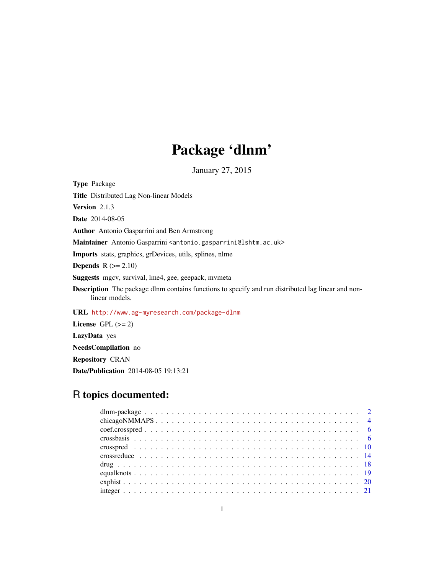# Package 'dlnm'

January 27, 2015

<span id="page-0-0"></span>Type Package Title Distributed Lag Non-linear Models Version 2.1.3 Date 2014-08-05 Author Antonio Gasparrini and Ben Armstrong Maintainer Antonio Gasparrini <antonio.gasparrini@lshtm.ac.uk> Imports stats, graphics, grDevices, utils, splines, nlme Depends  $R$  ( $>= 2.10$ ) Suggests mgcv, survival, lme4, gee, geepack, mvmeta Description The package dlnm contains functions to specify and run distributed lag linear and nonlinear models. URL <http://www.ag-myresearch.com/package-dlnm> License GPL  $(>= 2)$ LazyData yes NeedsCompilation no Repository CRAN

Date/Publication 2014-08-05 19:13:21

# R topics documented: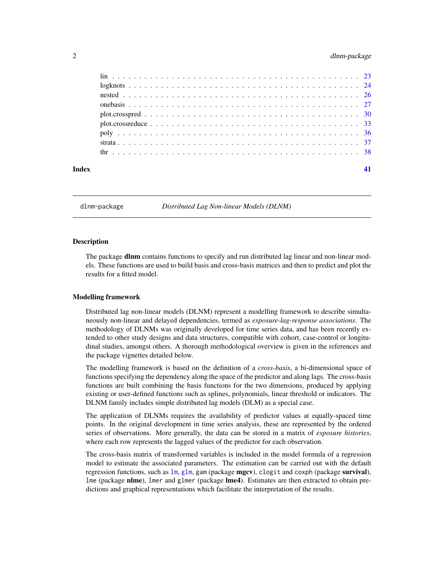# <span id="page-1-0"></span>2 dlnm-package and  $\alpha$  dlnm-package and  $\alpha$  dlnm-package and  $\alpha$  dlnm-package and  $\alpha$

| Index |  |
|-------|--|
|       |  |
|       |  |
|       |  |
|       |  |
|       |  |
|       |  |
|       |  |
|       |  |
|       |  |

<span id="page-1-1"></span>dlnm-package *Distributed Lag Non-linear Models (DLNM)*

# Description

The package **dlnm** contains functions to specify and run distributed lag linear and non-linear models. These functions are used to build basis and cross-basis matrices and then to predict and plot the results for a fitted model.

# Modelling framework

Distributed lag non-linear models (DLNM) represent a modelling framework to describe simultaneously non-linear and delayed dependencies, termed as *exposure-lag-response associations*. The methodology of DLNMs was originally developed for time series data, and has been recently extended to other study designs and data structures, compatible with cohort, case-control or longitudinal studies, amongst others. A thorough methodological overview is given in the references and the package vignettes detailed below.

The modelling framework is based on the definition of a *cross-basis*, a bi-dimensional space of functions specifying the dependency along the space of the predictor and along lags. The cross-basis functions are built combining the basis functions for the two dimensions, produced by applying existing or user-defined functions such as splines, polynomials, linear threshold or indicators. The DLNM family includes simple distributed lag models (DLM) as a special case.

The application of DLNMs requires the availability of predictor values at equally-spaced time points. In the original development in time series analysis, these are represented by the ordered series of observations. More generally, the data can be stored in a matrix of *exposure histories*, where each row represents the lagged values of the predictor for each observation.

The cross-basis matrix of transformed variables is included in the model formula of a regression model to estimate the associated parameters. The estimation can be carried out with the default regression functions, such as  $\text{Im}, \text{glm}, \text{gam}$  $\text{Im}, \text{glm}, \text{gam}$  $\text{Im}, \text{glm}, \text{gam}$  (package mgcv), clogit and coxph (package survival), lme (package nlme), lmer and glmer (package lme4). Estimates are then extracted to obtain predictions and graphical representations which facilitate the interpretation of the results.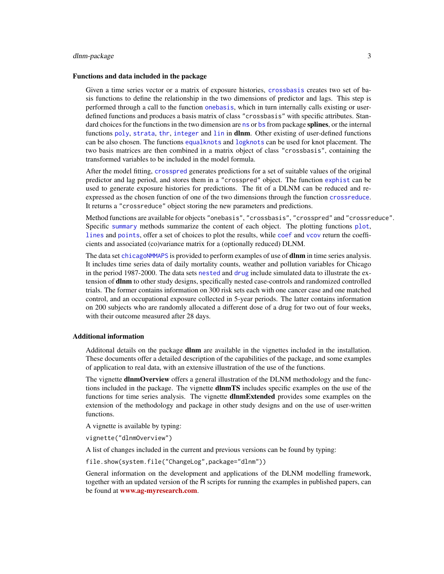# <span id="page-2-0"></span>dlnm-package 3

#### Functions and data included in the package

Given a time series vector or a matrix of exposure histories, [crossbasis](#page-5-1) creates two set of basis functions to define the relationship in the two dimensions of predictor and lags. This step is performed through a call to the function [onebasis](#page-26-1), which in turn internally calls existing or userdefined functions and produces a basis matrix of class "crossbasis" with specific attributes. Standard choices for the functio[ns](#page-0-0) in the two dimension are ns or [bs](#page-0-0) from package **splines**, or the internal functions [poly](#page-35-1), [strata](#page-36-1), [thr](#page-37-1), [integer](#page-20-1) and [lin](#page-22-1) in **dlnm**. Other existing of user-defined functions can be also chosen. The functions [equalknots](#page-18-1) and [logknots](#page-23-1) can be used for knot placement. The two basis matrices are then combined in a matrix object of class "crossbasis", containing the transformed variables to be included in the model formula.

After the model fitting, [crosspred](#page-9-1) generates predictions for a set of suitable values of the original predictor and lag period, and stores them in a "crosspred" object. The function [exphist](#page-19-1) can be used to generate exposure histories for predictions. The fit of a DLNM can be reduced and reexpressed as the chosen function of one of the two dimensions through the function [crossreduce](#page-13-1). It returns a "crossreduce" object storing the new parameters and predictions.

Method functions are available for objects "onebasis", "crossbasis", "crosspred" and "crossreduce". Specific [summary](#page-5-2) methods summarize the content of each object. The plotting functions [plot](#page-29-1), [lines](#page-29-2) and [points](#page-29-2), offer a set of choices to plot the results, while [coef](#page-5-3) and [vcov](#page-5-4) return the coefficients and associated (co)variance matrix for a (optionally reduced) DLNM.

The data set [chicagoNMMAPS](#page-3-1) is provided to perform examples of use of **dlnm** in time series analysis. It includes time series data of daily mortality counts, weather and pollution variables for Chicago in the period 1987-2000. The data sets [nested](#page-25-1) and [drug](#page-17-1) include simulated data to illustrate the extension of **dlnm** to other study designs, specifically nested case-controls and randomized controlled trials. The former contains information on 300 risk sets each with one cancer case and one matched control, and an occupational exposure collected in 5-year periods. The latter contains information on 200 subjects who are randomly allocated a different dose of a drug for two out of four weeks, with their outcome measured after 28 days.

#### Additional information

Additonal details on the package **dlnm** are available in the vignettes included in the installation. These documents offer a detailed description of the capabilities of the package, and some examples of application to real data, with an extensive illustration of the use of the functions.

The vignette **dlnmOverview** offers a general illustration of the DLNM methodology and the functions included in the package. The vignette **dlnmTS** includes specific examples on the use of the functions for time series analysis. The vignette **dlnmExtended** provides some examples on the extension of the methodology and package in other study designs and on the use of user-written functions.

A vignette is available by typing:

vignette("dlnmOverview")

A list of changes included in the current and previous versions can be found by typing:

file.show(system.file("ChangeLog",package="dlnm"))

General information on the development and applications of the DLNM modelling framework, together with an updated version of the R scripts for running the examples in published papers, can be found at [www.ag-myresearch.com](http://www.ag-myresearch.com).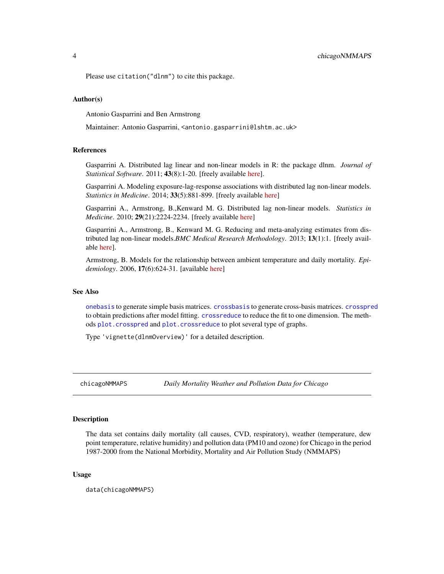<span id="page-3-0"></span>Please use citation("dlnm") to cite this package.

# Author(s)

Antonio Gasparrini and Ben Armstrong

Maintainer: Antonio Gasparrini, <antonio.gasparrini@lshtm.ac.uk>

# References

Gasparrini A. Distributed lag linear and non-linear models in R: the package dlnm. *Journal of Statistical Software*. 2011; 43(8):1-20. [freely available [here\]](http://www.ag-myresearch.com/jss2011.html).

Gasparrini A. Modeling exposure-lag-response associations with distributed lag non-linear models. *Statistics in Medicine*. 2014; 33(5):881-899. [freely available [here\]](http://www.ag-myresearch.com/statmed2014)

Gasparrini A., Armstrong, B.,Kenward M. G. Distributed lag non-linear models. *Statistics in Medicine*. 2010; 29(21):2224-2234. [freely available [here\]](http://www.ag-myresearch.com/statmed2010)

Gasparrini A., Armstrong, B., Kenward M. G. Reducing and meta-analyzing estimates from distributed lag non-linear models.*BMC Medical Research Methodology*. 2013; 13(1):1. [freely available [here\]](http://www.ag-myresearch.com/bmcmrm2013).

Armstrong, B. Models for the relationship between ambient temperature and daily mortality. *Epidemiology*. 2006, 17(6):624-31. [available [here\]](http://www.ncbi.nlm.nih.gov/pubmed/17028505)

# See Also

[onebasis](#page-26-1) to generate simple basis matrices. [crossbasis](#page-5-1) to generate cross-basis matrices. [crosspred](#page-9-1) to obtain predictions after model fitting. [crossreduce](#page-13-1) to reduce the fit to one dimension. The methods [plot.crosspred](#page-29-1) and [plot.crossreduce](#page-32-1) to plot several type of graphs.

Type 'vignette(dlnmOverview)' for a detailed description.

<span id="page-3-1"></span>chicagoNMMAPS *Daily Mortality Weather and Pollution Data for Chicago*

# Description

The data set contains daily mortality (all causes, CVD, respiratory), weather (temperature, dew point temperature, relative humidity) and pollution data (PM10 and ozone) for Chicago in the period 1987-2000 from the National Morbidity, Mortality and Air Pollution Study (NMMAPS)

# Usage

data(chicagoNMMAPS)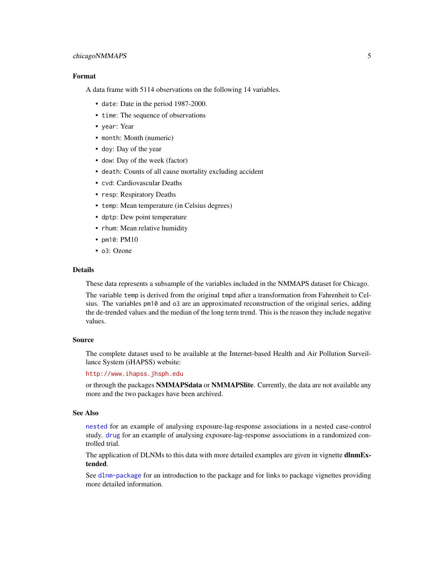# <span id="page-4-0"></span>chicagoNMMAPS 5

# Format

A data frame with 5114 observations on the following 14 variables.

- date: Date in the period 1987-2000.
- time: The sequence of observations
- year: Year
- month: Month (numeric)
- doy: Day of the year
- dow: Day of the week (factor)
- death: Counts of all cause mortality excluding accident
- cvd: Cardiovascular Deaths
- resp: Respiratory Deaths
- temp: Mean temperature (in Celsius degrees)
- dptp: Dew point temperature
- rhum: Mean relative humidity
- pm10: PM10
- o3: Ozone

#### Details

These data represents a subsample of the variables included in the NMMAPS dataset for Chicago.

The variable temp is derived from the original tmpd after a transformation from Fahrenheit to Celsius. The variables pm10 and o3 are an approximated reconstruction of the original series, adding the de-trended values and the median of the long term trend. This is the reason they include negative values.

#### Source

The complete dataset used to be available at the Internet-based Health and Air Pollution Surveillance System (iHAPSS) website:

# <http://www.ihapss.jhsph.edu>

or through the packages NMMAPSdata or NMMAPSlite. Currently, the data are not available any more and the two packages have been archived.

#### See Also

[nested](#page-25-1) for an example of analysing exposure-lag-response associations in a nested case-control study. [drug](#page-17-1) for an example of analysing exposure-lag-response associations in a randomized controlled trial.

The application of DLNMs to this data with more detailed examples are given in vignette **dlnmEx**tended.

See [dlnm-package](#page-1-1) for an introduction to the package and for links to package vignettes providing more detailed information.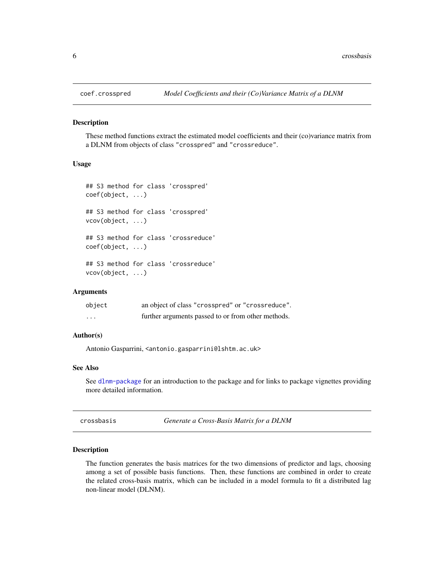<span id="page-5-3"></span><span id="page-5-0"></span>

#### <span id="page-5-4"></span>Description

These method functions extract the estimated model coefficients and their (co)variance matrix from a DLNM from objects of class "crosspred" and "crossreduce".

# Usage

```
## S3 method for class 'crosspred'
coef(object, ...)
## S3 method for class 'crosspred'
vcov(object, ...)
## S3 method for class 'crossreduce'
coef(object, ...)
## S3 method for class 'crossreduce'
vcov(object, ...)
```
# Arguments

| object                  | an object of class "crosspred" or "crossreduce".   |
|-------------------------|----------------------------------------------------|
| $\cdot$ $\cdot$ $\cdot$ | further arguments passed to or from other methods. |

# Author(s)

Antonio Gasparrini, <antonio.gasparrini@lshtm.ac.uk>

# See Also

See [dlnm-package](#page-1-1) for an introduction to the package and for links to package vignettes providing more detailed information.

<span id="page-5-1"></span>

| crossbasis | Generate a Cross-Basis Matrix for a DLNM |  |
|------------|------------------------------------------|--|
|            |                                          |  |

# <span id="page-5-2"></span>Description

The function generates the basis matrices for the two dimensions of predictor and lags, choosing among a set of possible basis functions. Then, these functions are combined in order to create the related cross-basis matrix, which can be included in a model formula to fit a distributed lag non-linear model (DLNM).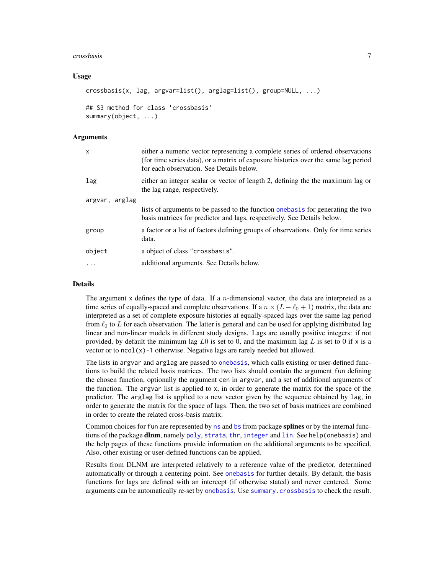#### <span id="page-6-0"></span>crossbasis 7

# Usage

```
crossbasis(x, lag, argvar=list(), arglag=list(), group=NULL, ...)
```

```
## S3 method for class 'crossbasis'
summary(object, ...)
```
#### Arguments

| X              | either a numeric vector representing a complete series of ordered observations<br>(for time series data), or a matrix of exposure histories over the same lag period<br>for each observation. See Details below. |
|----------------|------------------------------------------------------------------------------------------------------------------------------------------------------------------------------------------------------------------|
| lag            | either an integer scalar or vector of length 2, defining the the maximum lag or<br>the lag range, respectively.                                                                                                  |
| argvar, arglag |                                                                                                                                                                                                                  |
|                | lists of arguments to be passed to the function one basis for generating the two<br>basis matrices for predictor and lags, respectively. See Details below.                                                      |
| group          | a factor or a list of factors defining groups of observations. Only for time series<br>data.                                                                                                                     |
| object         | a object of class "crossbasis".                                                                                                                                                                                  |
| $\cdot$        | additional arguments. See Details below.                                                                                                                                                                         |
|                |                                                                                                                                                                                                                  |

# Details

The argument  $x$  defines the type of data. If a *n*-dimensional vector, the data are interpreted as a time series of equally-spaced and complete observations. If a  $n \times (L - \ell_0 + 1)$  matrix, the data are interpreted as a set of complete exposure histories at equally-spaced lags over the same lag period from  $\ell_0$  to L for each observation. The latter is general and can be used for applying distributed lag linear and non-linear models in different study designs. Lags are usually positive integers: if not provided, by default the minimum lag L0 is set to 0, and the maximum lag L is set to 0 if  $\times$  is a vector or to  $ncol(x)-1$  otherwise. Negative lags are rarely needed but allowed.

The lists in argvar and arglag are passed to [onebasis](#page-26-1), which calls existing or user-defined functions to build the related basis matrices. The two lists should contain the argument fun defining the chosen function, optionally the argument cen in argvar, and a set of additional arguments of the function. The argvar list is applied to x, in order to generate the matrix for the space of the predictor. The arglag list is applied to a new vector given by the sequence obtained by lag, in order to generate the matrix for the space of lags. Then, the two set of basis matrices are combined in order to create the related cross-basis matrix.

Common choices for fun are represented by [ns](#page-0-0) and [bs](#page-0-0) from package splines or by the internal functions of the package **dlnm**, namely [poly](#page-35-1), [strata](#page-36-1), [thr](#page-37-1), [integer](#page-20-1) and [lin](#page-22-1). See help(onebasis) and the help pages of these functions provide information on the additional arguments to be specified. Also, other existing or user-defined functions can be applied.

Results from DLNM are interpreted relatively to a reference value of the predictor, determined automatically or through a centering point. See [onebasis](#page-26-1) for further details. By default, the basis functions for lags are defined with an intercept (if otherwise stated) and never centered. Some arguments can be automatically re-set by [onebasis](#page-26-1). Use [summary.crossbasis](#page-5-2) to check the result.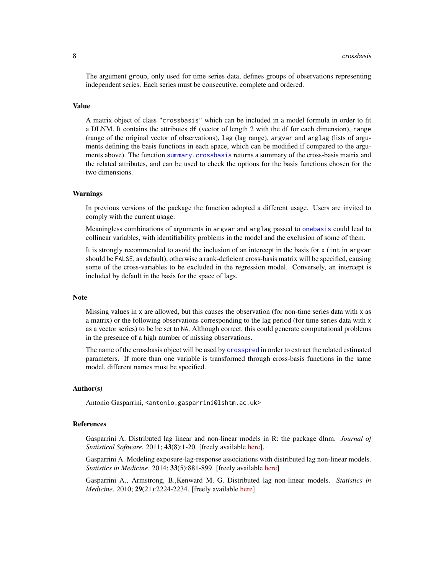<span id="page-7-0"></span>The argument group, only used for time series data, defines groups of observations representing independent series. Each series must be consecutive, complete and ordered.

# Value

A matrix object of class "crossbasis" which can be included in a model formula in order to fit a DLNM. It contains the attributes df (vector of length 2 with the df for each dimension), range (range of the original vector of observations), lag (lag range), argvar and arglag (lists of arguments defining the basis functions in each space, which can be modified if compared to the arguments above). The function [summary.crossbasis](#page-5-2) returns a summary of the cross-basis matrix and the related attributes, and can be used to check the options for the basis functions chosen for the two dimensions.

# Warnings

In previous versions of the package the function adopted a different usage. Users are invited to comply with the current usage.

Meaningless combinations of arguments in argvar and arglag passed to [onebasis](#page-26-1) could lead to collinear variables, with identifiability problems in the model and the exclusion of some of them.

It is strongly recommended to avoid the inclusion of an intercept in the basis for x (int in argvar should be FALSE, as default), otherwise a rank-deficient cross-basis matrix will be specified, causing some of the cross-variables to be excluded in the regression model. Conversely, an intercept is included by default in the basis for the space of lags.

#### **Note**

Missing values in  $x$  are allowed, but this causes the observation (for non-time series data with  $x$  as a matrix) or the following observations corresponding to the lag period (for time series data with x as a vector series) to be be set to NA. Although correct, this could generate computational problems in the presence of a high number of missing observations.

The name of the crossbasis object will be used by [crosspred](#page-9-1) in order to extract the related estimated parameters. If more than one variable is transformed through cross-basis functions in the same model, different names must be specified.

# Author(s)

Antonio Gasparrini, <antonio.gasparrini@lshtm.ac.uk>

#### References

Gasparrini A. Distributed lag linear and non-linear models in R: the package dlnm. *Journal of Statistical Software*. 2011; 43(8):1-20. [freely available [here\]](http://www.ag-myresearch.com/jss2011).

Gasparrini A. Modeling exposure-lag-response associations with distributed lag non-linear models. *Statistics in Medicine*. 2014; 33(5):881-899. [freely available [here\]](http://www.ag-myresearch.com/statmed2014)

Gasparrini A., Armstrong, B.,Kenward M. G. Distributed lag non-linear models. *Statistics in Medicine*. 2010; 29(21):2224-2234. [freely available [here\]](http://www.ag-myresearch.com/statmed2010)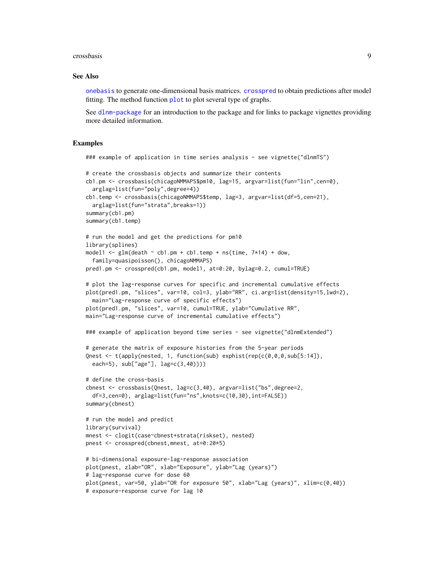#### <span id="page-8-0"></span>crossbasis **9**

#### See Also

[onebasis](#page-26-1) to generate one-dimensional basis matrices. [crosspred](#page-9-1) to obtain predictions after model fitting. The method function [plot](#page-29-1) to plot several type of graphs.

See [dlnm-package](#page-1-1) for an introduction to the package and for links to package vignettes providing more detailed information.

```
### example of application in time series analysis - see vignette("dlnmTS")
# create the crossbasis objects and summarize their contents
cb1.pm <- crossbasis(chicagoNMMAPS$pm10, lag=15, argvar=list(fun="lin",cen=0),
  arglag=list(fun="poly",degree=4))
cb1.temp <- crossbasis(chicagoNMMAPS$temp, lag=3, argvar=list(df=5,cen=21),
  arglag=list(fun="strata",breaks=1))
summary(cb1.pm)
summary(cb1.temp)
# run the model and get the predictions for pm10
library(splines)
model1 <- glm(death \sim cb1.pm + cb1.temp + ns(time, 7*14) + down,family=quasipoisson(), chicagoNMMAPS)
pred1.pm <- crosspred(cb1.pm, model1, at=0:20, bylag=0.2, cumul=TRUE)
# plot the lag-response curves for specific and incremental cumulative effects
plot(pred1.pm, "slices", var=10, col=3, ylab="RR", ci.arg=list(density=15,lwd=2),
  main="Lag-response curve of specific effects")
plot(pred1.pm, "slices", var=10, cumul=TRUE, ylab="Cumulative RR",
main="Lag-response curve of incremental cumulative effects")
### example of application beyond time series - see vignette("dlnmExtended")
# generate the matrix of exposure histories from the 5-year periods
Qnest \leq t(apply(nested, 1, function(sub) exphist(rep(c(0,0,0,sub[5:14]),
  each=5), sub["age"], lag=c(3,40))))
# define the cross-basis
cbnest \leq crossbasis(Qnest, lag=c(3,40), argvar=list("bs", degree=2,
  df=3,cen=0), arglag=list(fun="ns",knots=c(10,30),int=FALSE))
summary(cbnest)
# run the model and predict
library(survival)
mnest <- clogit(case~cbnest+strata(riskset), nested)
pnest <- crosspred(cbnest,mnest, at=0:20*5)
# bi-dimensional exposure-lag-response association
plot(pnest, zlab="OR", xlab="Exposure", ylab="Lag (years)")
# lag-response curve for dose 60
plot(pnest, var=50, ylab="OR for exposure 50", xlab="Lag (years)", xlim=c(0,40))
# exposure-response curve for lag 10
```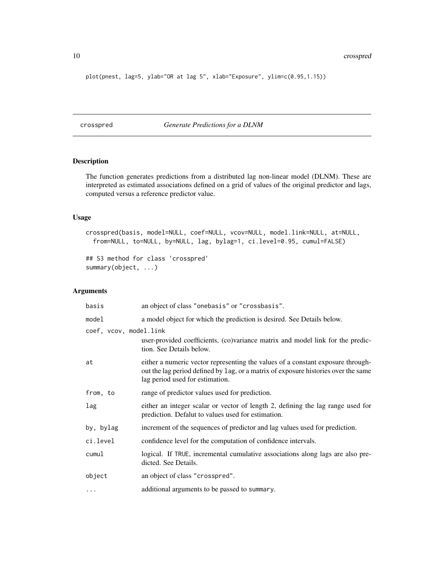<span id="page-9-0"></span>10 crosspred and the crosspred control of the crosspred crosspred crosspred crosspred crosspred crosspred crosspred crosspred crosspred crosspred crosspred crosspred crosspred crosspred crosspred crosspred crosspred crossp

plot(pnest, lag=5, ylab="OR at lag 5", xlab="Exposure", ylim=c(0.95,1.15))

<span id="page-9-1"></span>crosspred *Generate Predictions for a DLNM*

# <span id="page-9-2"></span>Description

The function generates predictions from a distributed lag non-linear model (DLNM). These are interpreted as estimated associations defined on a grid of values of the original predictor and lags, computed versus a reference predictor value.

# Usage

crosspred(basis, model=NULL, coef=NULL, vcov=NULL, model.link=NULL, at=NULL, from=NULL, to=NULL, by=NULL, lag, bylag=1, ci.level=0.95, cumul=FALSE)

```
## S3 method for class 'crosspred'
summary(object, ...)
```
# Arguments

| basis                  | an object of class "onebasis" or "crossbasis".                                                                                                                                                           |
|------------------------|----------------------------------------------------------------------------------------------------------------------------------------------------------------------------------------------------------|
| model                  | a model object for which the prediction is desired. See Details below.                                                                                                                                   |
| coef, vcov, model.link |                                                                                                                                                                                                          |
|                        | user-provided coefficients, (co)variance matrix and model link for the predic-<br>tion. See Details below.                                                                                               |
| at                     | either a numeric vector representing the values of a constant exposure through-<br>out the lag period defined by lag, or a matrix of exposure histories over the same<br>lag period used for estimation. |
| from, to               | range of predictor values used for prediction.                                                                                                                                                           |
| lag                    | either an integer scalar or vector of length 2, defining the lag range used for<br>prediction. Defalut to values used for estimation.                                                                    |
| by, bylag              | increment of the sequences of predictor and lag values used for prediction.                                                                                                                              |
| ci.level               | confidence level for the computation of confidence intervals.                                                                                                                                            |
| cumul                  | logical. If TRUE, incremental cumulative associations along lags are also pre-<br>dicted. See Details.                                                                                                   |
| object                 | an object of class "crosspred".                                                                                                                                                                          |
| .                      | additional arguments to be passed to summary.                                                                                                                                                            |
|                        |                                                                                                                                                                                                          |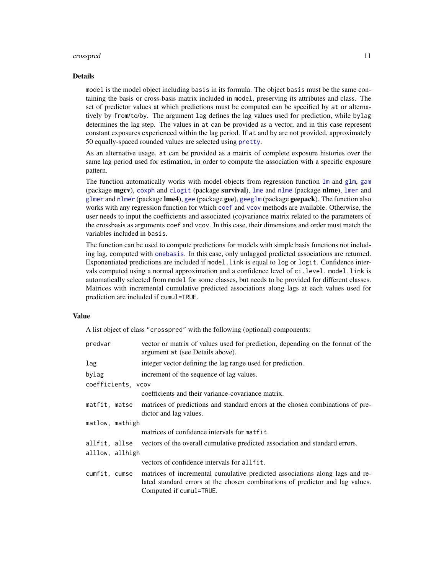#### <span id="page-10-0"></span>crosspred the contract of the contract of the contract of the contract of the contract of the contract of the contract of the contract of the contract of the contract of the contract of the contract of the contract of the

#### Details

model is the model object including basis in its formula. The object basis must be the same containing the basis or cross-basis matrix included in model, preserving its attributes and class. The set of predictor values at which predictions must be computed can be specified by at or alternatively by from/to/by. The argument lag defines the lag values used for prediction, while bylag determines the lag step. The values in at can be provided as a vector, and in this case represent constant exposures experienced within the lag period. If at and by are not provided, approximately 50 equally-spaced rounded values are selected using [pretty](#page-0-0).

As an alternative usage, at can be provided as a matrix of complete exposure histories over the same lag period used for estimation, in order to compute the association with a specific exposure pattern.

The function automatically works with model objects from regression function  $\text{lm}$  $\text{lm}$  $\text{lm}$  and [glm](#page-0-0), [gam](#page-0-0) (package mgcv), [coxph](#page-0-0) and [clogit](#page-0-0) (package survival), [lme](#page-0-0) and [nlme](#page-0-0) (package nlme), [lmer](#page-0-0) and [glmer](#page-0-0) and [nlmer](#page-0-0) (package lme4), [gee](#page-0-0) (package gee), [geeglm](#page-0-0) (package geepack). The function also works with any regression function for which [coef](#page-0-0) and [vcov](#page-0-0) methods are available. Otherwise, the user needs to input the coefficients and associated (co)variance matrix related to the parameters of the crossbasis as arguments coef and vcov. In this case, their dimensions and order must match the variables included in basis.

The function can be used to compute predictions for models with simple basis functions not including lag, computed with [onebasis](#page-26-1). In this case, only unlagged predicted associations are returned. Exponentiated predictions are included if model.link is equal to log or logit. Confidence intervals computed using a normal approximation and a confidence level of ci.level. model.link is automatically selected from model for some classes, but needs to be provided for different classes. Matrices with incremental cumulative predicted associations along lags at each values used for prediction are included if cumul=TRUE.

#### Value

A list object of class "crosspred" with the following (optional) components:

| predvar            | vector or matrix of values used for prediction, depending on the format of the<br>argument at (see Details above).                                                                       |
|--------------------|------------------------------------------------------------------------------------------------------------------------------------------------------------------------------------------|
| lag                | integer vector defining the lag range used for prediction.                                                                                                                               |
| bylag              | increment of the sequence of lag values.                                                                                                                                                 |
| coefficients, vcov |                                                                                                                                                                                          |
|                    | coefficients and their variance-covariance matrix.                                                                                                                                       |
| matfit, matse      | matrices of predictions and standard errors at the chosen combinations of pre-<br>dictor and lag values.                                                                                 |
| matlow, mathigh    |                                                                                                                                                                                          |
|                    | matrices of confidence intervals for matfit.                                                                                                                                             |
| allfit, allse      | vectors of the overall cumulative predicted association and standard errors.                                                                                                             |
| alllow, allhigh    |                                                                                                                                                                                          |
|                    | vectors of confidence intervals for allfit.                                                                                                                                              |
| cumfit, cumse      | matrices of incremental cumulative predicted associations along lags and re-<br>lated standard errors at the chosen combinations of predictor and lag values.<br>Computed if cumul=TRUE. |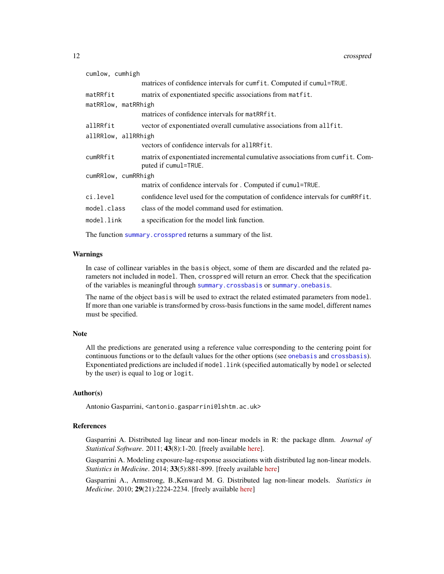<span id="page-11-0"></span>

| cumlow, cumhigh     |                                                                                                       |
|---------------------|-------------------------------------------------------------------------------------------------------|
|                     | matrices of confidence intervals for cumfit. Computed if cumul=TRUE.                                  |
| matRRfit            | matrix of exponentiated specific associations from matrit.                                            |
| matRRlow, matRRhigh |                                                                                                       |
|                     | matrices of confidence intervals for matRRfit.                                                        |
| allRRfit            | vector of exponentiated overall cumulative associations from allfit.                                  |
| allRRlow, allRRhigh |                                                                                                       |
|                     | vectors of confidence intervals for allRRfit.                                                         |
| cumRRfit            | matrix of exponentiated incremental cumulative associations from cumfit. Com-<br>puted if cumul=TRUE. |
| cumRRlow, cumRRhigh |                                                                                                       |
|                     | matrix of confidence intervals for . Computed if cumul=TRUE.                                          |
| ci.level            | confidence level used for the computation of confidence intervals for cumRRfit.                       |
| model.class         | class of the model command used for estimation.                                                       |
| model.link          | a specification for the model link function.                                                          |
|                     |                                                                                                       |

The function [summary.crosspred](#page-9-2) returns a summary of the list.

# Warnings

In case of collinear variables in the basis object, some of them are discarded and the related parameters not included in model. Then, crosspred will return an error. Check that the specification of the variables is meaningful through [summary.crossbasis](#page-5-2) or [summary.onebasis](#page-26-2).

The name of the object basis will be used to extract the related estimated parameters from model. If more than one variable is transformed by cross-basis functions in the same model, different names must be specified.

#### Note

All the predictions are generated using a reference value corresponding to the centering point for continuous functions or to the default values for the other options (see [onebasis](#page-26-1) and [crossbasis](#page-5-1)). Exponentiated predictions are included if model. link (specified automatically by model or selected by the user) is equal to log or logit.

# Author(s)

Antonio Gasparrini, <antonio.gasparrini@lshtm.ac.uk>

# References

Gasparrini A. Distributed lag linear and non-linear models in R: the package dlnm. *Journal of Statistical Software*. 2011; 43(8):1-20. [freely available [here\]](http://www.ag-myresearch.com/jss2011.html).

Gasparrini A. Modeling exposure-lag-response associations with distributed lag non-linear models. *Statistics in Medicine*. 2014; 33(5):881-899. [freely available [here\]](http://www.ag-myresearch.com/statmed2014)

Gasparrini A., Armstrong, B.,Kenward M. G. Distributed lag non-linear models. *Statistics in Medicine*. 2010; 29(21):2224-2234. [freely available [here\]](http://www.ag-myresearch.com/statmed2010)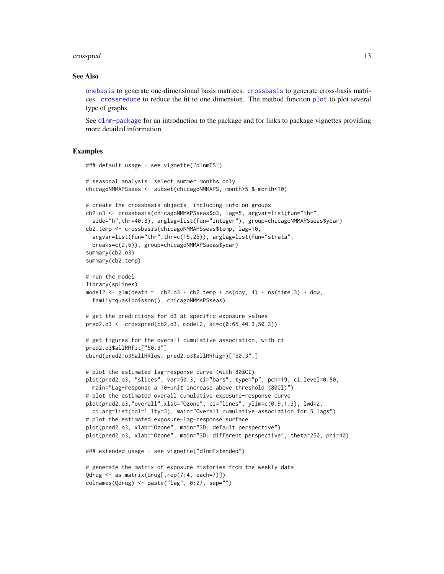#### <span id="page-12-0"></span>crosspred the contract of the contract of the contract of the contract of the contract of the contract of the contract of the contract of the contract of the contract of the contract of the contract of the contract of the

# See Also

[onebasis](#page-26-1) to generate one-dimensional basis matrices. [crossbasis](#page-5-1) to generate cross-basis matrices. [crossreduce](#page-13-1) to reduce the fit to one dimension. The method function [plot](#page-29-1) to plot several type of graphs.

See [dlnm-package](#page-1-1) for an introduction to the package and for links to package vignettes providing more detailed information.

```
### default usage - see vignette("dlnmTS")
# seasonal analysis: select summer months only
chicagoNMMAPSseas <- subset(chicagoNMMAPS, month>5 & month<10)
# create the crossbasis objects, including info on groups
cb2.o3 <- crossbasis(chicagoNMMAPSseas$o3, lag=5, argvar=list(fun="thr",
 side="h",thr=40.3), arglag=list(fun="integer"), group=chicagoNMMAPSseas$year)
cb2.temp <- crossbasis(chicagoNMMAPSseas$temp, lag=10,
 argvar=list(fun="thr",thr=c(15,25)), arglag=list(fun="strata",
 breaks=c(2,6)), group=chicagoNMMAPSseas$year)
summary(cb2.o3)
summary(cb2.temp)
# run the model
library(splines)
model2 \leq glm(death \sim cb2.o3 + cb2.temp + ns(doy, 4) + ns(time,3) + dow,
 family=quasipoisson(), chicagoNMMAPSseas)
# get the predictions for o3 at specific exposure values
pred2.o3 <- crosspred(cb2.o3, model2, at=c(0:65,40.3,50.3))
# get figures for the overall cumulative association, with ci
pred2.o3$allRRfit["50.3"]
cbind(pred2.o3$allRRlow, pred2.o3$allRRhigh)["50.3",]
# plot the estimated lag-response curve (with 80%CI)
plot(pred2.o3, "slices", var=50.3, ci="bars", type="p", pch=19, ci.level=0.80,
 main="Lag-response a 10-unit increase above threshold (80CI)")
# plot the estimated overall cumulative exposure-response curve
plot(pred2.o3,"overall",xlab="Ozone", ci="lines", ylim=c(0.9,1.3), lwd=2,
 ci.arg=list(col=1,lty=3), main="Overall cumulative association for 5 lags")
# plot the estimated exposure-lag-response surface
plot(pred2.o3, xlab="Ozone", main="3D: default perspective")
plot(pred2.o3, xlab="Ozone", main="3D: different perspective", theta=250, phi=40)
### extended usage - see vignette("dlnmExtended")
# generate the matrix of exposure histories from the weekly data
Qdrug <- as.matrix(drug[,rep(7:4, each=7)])
colnames(Qdrug) <- paste("lag", 0:27, sep="")
```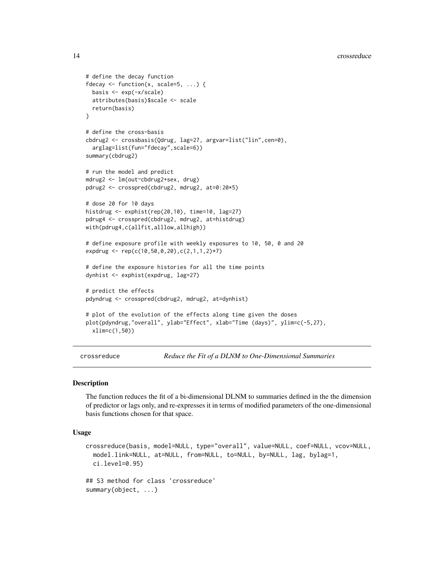```
# define the decay function
fdecay \leq function(x, scale=5, ...) {
 basis <- exp(-x/scale)
 attributes(basis)$scale <- scale
 return(basis)
}
# define the cross-basis
cbdrug2 <- crossbasis(Qdrug, lag=27, argvar=list("lin",cen=0),
 arglag=list(fun="fdecay",scale=6))
summary(cbdrug2)
# run the model and predict
mdrug2 <- lm(out~cbdrug2+sex, drug)
pdrug2 <- crosspred(cbdrug2, mdrug2, at=0:20*5)
# dose 20 for 10 days
histdrug <- exphist(rep(20,10), time=10, lag=27)
pdrug4 <- crosspred(cbdrug2, mdrug2, at=histdrug)
with(pdrug4,c(allfit,alllow,allhigh))
# define exposure profile with weekly exposures to 10, 50, 0 and 20
expdrug <- rep(c(10,50,0,20),c(2,1,1,2)*7)
# define the exposure histories for all the time points
dynhist <- exphist(expdrug, lag=27)
# predict the effects
pdyndrug <- crosspred(cbdrug2, mdrug2, at=dynhist)
# plot of the evolution of the effects along time given the doses
plot(pdyndrug,"overall", ylab="Effect", xlab="Time (days)", ylim=c(-5,27),
 xlim=c(1,50))
```
<span id="page-13-1"></span>crossreduce *Reduce the Fit of a DLNM to One-Dimensional Summaries*

# **Description**

The function reduces the fit of a bi-dimensional DLNM to summaries defined in the the dimension of predictor or lags only, and re-expresses it in terms of modified parameters of the one-dimensional basis functions chosen for that space.

#### Usage

```
crossreduce(basis, model=NULL, type="overall", value=NULL, coef=NULL, vcov=NULL,
 model.link=NULL, at=NULL, from=NULL, to=NULL, by=NULL, lag, bylag=1,
  ci.level=0.95)
## S3 method for class 'crossreduce'
summary(object, ...)
```
<span id="page-13-0"></span>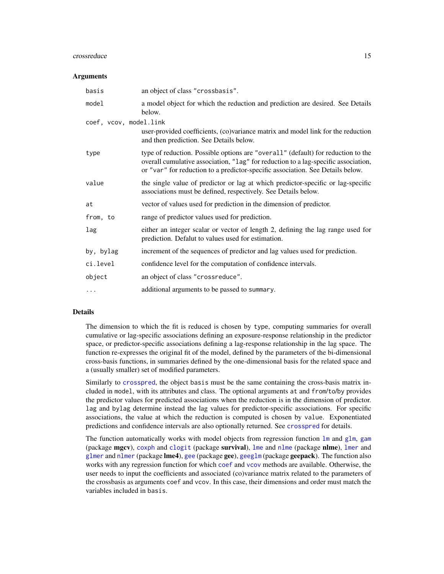#### <span id="page-14-0"></span>crossreduce the contract of the contract of the contract of the contract of the contract of the contract of the contract of the contract of the contract of the contract of the contract of the contract of the contract of th

#### **Arguments**

| basis                  | an object of class "crossbasis".                                                                                                                                                                                                                         |
|------------------------|----------------------------------------------------------------------------------------------------------------------------------------------------------------------------------------------------------------------------------------------------------|
| model                  | a model object for which the reduction and prediction are desired. See Details<br>below.                                                                                                                                                                 |
| coef, vcov, model.link |                                                                                                                                                                                                                                                          |
|                        | user-provided coefficients, (co)variance matrix and model link for the reduction<br>and then prediction. See Details below.                                                                                                                              |
| type                   | type of reduction. Possible options are "overall" (default) for reduction to the<br>overall cumulative association, "lag" for reduction to a lag-specific association,<br>or "var" for reduction to a predictor-specific association. See Details below. |
| value                  | the single value of predictor or lag at which predictor-specific or lag-specific<br>associations must be defined, respectively. See Details below.                                                                                                       |
| at                     | vector of values used for prediction in the dimension of predictor.                                                                                                                                                                                      |
| from, to               | range of predictor values used for prediction.                                                                                                                                                                                                           |
| lag                    | either an integer scalar or vector of length 2, defining the lag range used for<br>prediction. Defalut to values used for estimation.                                                                                                                    |
| by, bylag              | increment of the sequences of predictor and lag values used for prediction.                                                                                                                                                                              |
| ci.level               | confidence level for the computation of confidence intervals.                                                                                                                                                                                            |
| object                 | an object of class "crossreduce".                                                                                                                                                                                                                        |
| $\ddots$               | additional arguments to be passed to summary.                                                                                                                                                                                                            |

# Details

The dimension to which the fit is reduced is chosen by type, computing summaries for overall cumulative or lag-specific associations defining an exposure-response relationship in the predictor space, or predictor-specific associations defining a lag-response relationship in the lag space. The function re-expresses the original fit of the model, defined by the parameters of the bi-dimensional cross-basis functions, in summaries defined by the one-dimensional basis for the related space and a (usually smaller) set of modified parameters.

Similarly to [crosspred](#page-9-1), the object basis must be the same containing the cross-basis matrix included in model, with its attributes and class. The optional arguments at and from/to/by provides the predictor values for predicted associations when the reduction is in the dimension of predictor. lag and bylag determine instead the lag values for predictor-specific associations. For specific associations, the value at which the reduction is computed is chosen by value. Exponentiated predictions and confidence intervals are also optionally returned. See [crosspred](#page-9-1) for details.

The function automatically works with model objects from regression function  $\text{Im}$  and  $\text{glm}$  $\text{glm}$  $\text{glm}$ , [gam](#page-0-0) (package mgcy), [coxph](#page-0-0) and [clogit](#page-0-0) (package survival), [lme](#page-0-0) and [nlme](#page-0-0) (package nlme), [lmer](#page-0-0) and [glmer](#page-0-0) and [nlmer](#page-0-0) (package lme4), [gee](#page-0-0) (package gee), [geeglm](#page-0-0) (package geepack). The function also works with any regression function for which [coef](#page-0-0) and [vcov](#page-0-0) methods are available. Otherwise, the user needs to input the coefficients and associated (co)variance matrix related to the parameters of the crossbasis as arguments coef and vcov. In this case, their dimensions and order must match the variables included in basis.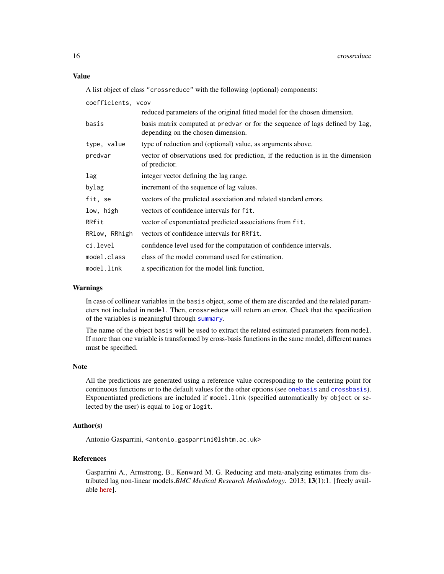# <span id="page-15-0"></span>Value

A list object of class "crossreduce" with the following (optional) components:

| coefficients, vcov |                                                                                                                    |
|--------------------|--------------------------------------------------------------------------------------------------------------------|
|                    | reduced parameters of the original fitted model for the chosen dimension.                                          |
| basis              | basis matrix computed at predvar or for the sequence of lags defined by lag,<br>depending on the chosen dimension. |
| type, value        | type of reduction and (optional) value, as arguments above.                                                        |
| predvar            | vector of observations used for prediction, if the reduction is in the dimension<br>of predictor.                  |
| lag                | integer vector defining the lag range.                                                                             |
| bylag              | increment of the sequence of lag values.                                                                           |
| fit, se            | vectors of the predicted association and related standard errors.                                                  |
| low, high          | vectors of confidence intervals for fit.                                                                           |
| RRfit              | vector of exponentiated predicted associations from fit.                                                           |
| RRlow, RRhigh      | vectors of confidence intervals for RRfit.                                                                         |
| ci.level           | confidence level used for the computation of confidence intervals.                                                 |
| model.class        | class of the model command used for estimation.                                                                    |
| model.link         | a specification for the model link function.                                                                       |

#### Warnings

In case of collinear variables in the basis object, some of them are discarded and the related parameters not included in model. Then, crossreduce will return an error. Check that the specification of the variables is meaningful through [summary](#page-5-2).

The name of the object basis will be used to extract the related estimated parameters from model. If more than one variable is transformed by cross-basis functions in the same model, different names must be specified.

# Note

All the predictions are generated using a reference value corresponding to the centering point for continuous functions or to the default values for the other options (see [onebasis](#page-26-1) and [crossbasis](#page-5-1)). Exponentiated predictions are included if model.link (specified automatically by object or selected by the user) is equal to log or logit.

# Author(s)

Antonio Gasparrini, <antonio.gasparrini@lshtm.ac.uk>

# References

Gasparrini A., Armstrong, B., Kenward M. G. Reducing and meta-analyzing estimates from distributed lag non-linear models.*BMC Medical Research Methodology*. 2013; 13(1):1. [freely available [here\]](http://www.ag-myresearch.com/bmcmrm2013).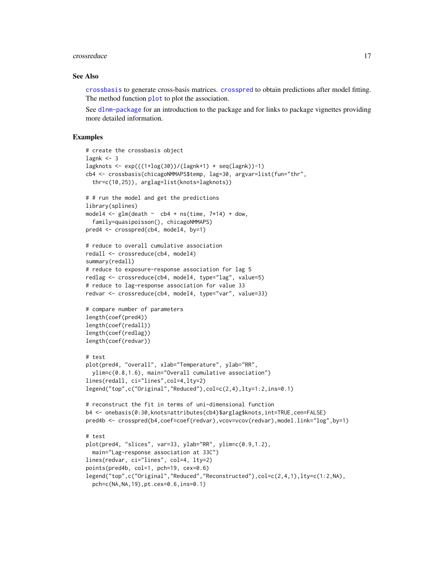#### <span id="page-16-0"></span>crossreduce the contract of the contract of the contract of the contract of the contract of the contract of the contract of the contract of the contract of the contract of the contract of the contract of the contract of th

## See Also

[crossbasis](#page-5-1) to generate cross-basis matrices. [crosspred](#page-9-1) to obtain predictions after model fitting. The method function [plot](#page-32-1) to plot the association.

See [dlnm-package](#page-1-1) for an introduction to the package and for links to package vignettes providing more detailed information.

```
# create the crossbasis object
lagnk < -3lagknots \leq exp(((1+log(30))/(lagnk+1) \star seq(lagnk))-1)
cb4 <- crossbasis(chicagoNMMAPS$temp, lag=30, argvar=list(fun="thr",
  thr=c(10,25)), arglag=list(knots=lagknots))
# # run the model and get the predictions
library(splines)
model4 \leq glm(death \sim cb4 + ns(time, 7*14) + dow,
  family=quasipoisson(), chicagoNMMAPS)
pred4 <- crosspred(cb4, model4, by=1)
# reduce to overall cumulative association
redall <- crossreduce(cb4, model4)
summary(redall)
# reduce to exposure-response association for lag 5
redlag <- crossreduce(cb4, model4, type="lag", value=5)
# reduce to lag-response association for value 33
redvar <- crossreduce(cb4, model4, type="var", value=33)
# compare number of parameters
length(coef(pred4))
length(coef(redall))
length(coef(redlag))
length(coef(redvar))
# test
plot(pred4, "overall", xlab="Temperature", ylab="RR",
  ylim=c(0.8,1.6), main="Overall cumulative association")
lines(redall, ci="lines",col=4,lty=2)
legend("top",c("Original","Reduced"),col=c(2,4),lty=1:2,ins=0.1)
# reconstruct the fit in terms of uni-dimensional function
b4 <- onebasis(0:30,knots=attributes(cb4)$arglag$knots,int=TRUE,cen=FALSE)
pred4b <- crosspred(b4,coef=coef(redvar),vcov=vcov(redvar),model.link="log",by=1)
# test
plot(pred4, "slices", var=33, ylab="RR", ylim=c(0.9,1.2),
  main="Lag-response association at 33C")
lines(redvar, ci="lines", col=4, lty=2)
points(pred4b, col=1, pch=19, cex=0.6)
legend("top",c("Original","Reduced","Reconstructed"),col=c(2,4,1),lty=c(1:2,NA),
  pch=c(NA,NA,19),pt.cex=0.6,ins=0.1)
```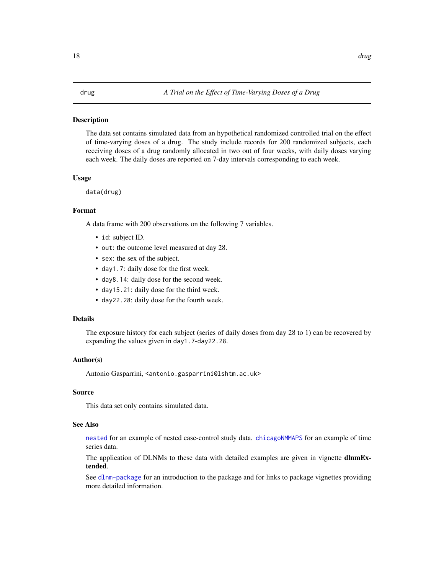#### <span id="page-17-1"></span><span id="page-17-0"></span>Description

The data set contains simulated data from an hypothetical randomized controlled trial on the effect of time-varying doses of a drug. The study include records for 200 randomized subjects, each receiving doses of a drug randomly allocated in two out of four weeks, with daily doses varying each week. The daily doses are reported on 7-day intervals corresponding to each week.

# Usage

data(drug)

### Format

A data frame with 200 observations on the following 7 variables.

- id: subject ID.
- out: the outcome level measured at day 28.
- sex: the sex of the subject.
- day1.7: daily dose for the first week.
- day8.14: daily dose for the second week.
- day15.21: daily dose for the third week.
- day22.28: daily dose for the fourth week.

# Details

The exposure history for each subject (series of daily doses from day 28 to 1) can be recovered by expanding the values given in day1.7-day22.28.

# Author(s)

Antonio Gasparrini, <antonio.gasparrini@lshtm.ac.uk>

# Source

This data set only contains simulated data.

#### See Also

[nested](#page-25-1) for an example of nested case-control study data. [chicagoNMMAPS](#page-3-1) for an example of time series data.

The application of DLNMs to these data with detailed examples are given in vignette **dlnmEx**tended.

See [dlnm-package](#page-1-1) for an introduction to the package and for links to package vignettes providing more detailed information.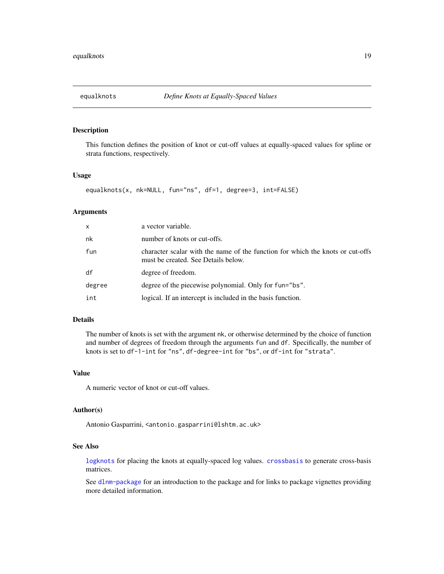<span id="page-18-1"></span><span id="page-18-0"></span>

# Description

This function defines the position of knot or cut-off values at equally-spaced values for spline or strata functions, respectively.

# Usage

```
equalknots(x, nk=NULL, fun="ns", df=1, degree=3, int=FALSE)
```
# Arguments

| x      | a vector variable.                                                                                                    |
|--------|-----------------------------------------------------------------------------------------------------------------------|
| nk     | number of knots or cut-offs.                                                                                          |
| fun    | character scalar with the name of the function for which the knots or cut-offs<br>must be created. See Details below. |
| df     | degree of freedom.                                                                                                    |
| degree | degree of the piecewise polynomial. Only for fun="bs".                                                                |
| int    | logical. If an intercept is included in the basis function.                                                           |

# Details

The number of knots is set with the argument nk, or otherwise determined by the choice of function and number of degrees of freedom through the arguments fun and df. Specifically, the number of knots is set to df-1-int for "ns", df-degree-int for "bs", or df-int for "strata".

#### Value

A numeric vector of knot or cut-off values.

# Author(s)

Antonio Gasparrini, <antonio.gasparrini@lshtm.ac.uk>

# See Also

[logknots](#page-23-1) for placing the knots at equally-spaced log values. [crossbasis](#page-5-1) to generate cross-basis matrices.

See [dlnm-package](#page-1-1) for an introduction to the package and for links to package vignettes providing more detailed information.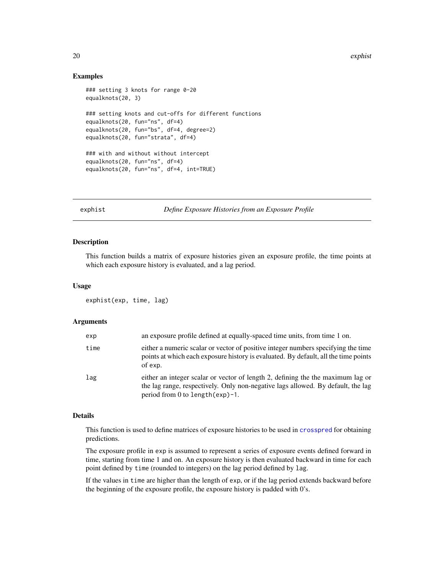<span id="page-19-0"></span>20 explicit the explicit of the explicit of the explicit of the explicit of the explicit of the explicit of the explicit of the explicit of the explicit of the explicit of the explicit of the explicit of the explicit of th

# Examples

```
### setting 3 knots for range 0-20
equalknots(20, 3)
### setting knots and cut-offs for different functions
equalknots(20, fun="ns", df=4)
equalknots(20, fun="bs", df=4, degree=2)
equalknots(20, fun="strata", df=4)
### with and without without intercept
equalknots(20, fun="ns", df=4)
equalknots(20, fun="ns", df=4, int=TRUE)
```
#### <span id="page-19-1"></span>exphist *Define Exposure Histories from an Exposure Profile*

# Description

This function builds a matrix of exposure histories given an exposure profile, the time points at which each exposure history is evaluated, and a lag period.

# Usage

exphist(exp, time, lag)

# Arguments

| exp  | an exposure profile defined at equally-spaced time units, from time 1 on.                                                                                                                                  |
|------|------------------------------------------------------------------------------------------------------------------------------------------------------------------------------------------------------------|
| time | either a numeric scalar or vector of positive integer numbers specifying the time<br>points at which each exposure history is evaluated. By default, all the time points<br>of exp.                        |
| lag  | either an integer scalar or vector of length 2, defining the the maximum lag or<br>the lag range, respectively. Only non-negative lags allowed. By default, the lag<br>period from 0 to length $(exp)$ -1. |

# Details

This function is used to define matrices of exposure histories to be used in [crosspred](#page-9-1) for obtaining predictions.

The exposure profile in exp is assumed to represent a series of exposure events defined forward in time, starting from time 1 and on. An exposure history is then evaluated backward in time for each point defined by time (rounded to integers) on the lag period defined by lag.

If the values in time are higher than the length of exp, or if the lag period extends backward before the beginning of the exposure profile, the exposure history is padded with 0's.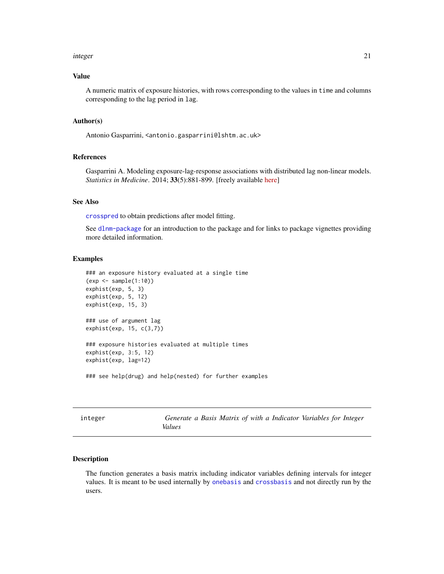#### <span id="page-20-0"></span>integer 21

# Value

A numeric matrix of exposure histories, with rows corresponding to the values in time and columns corresponding to the lag period in lag.

## Author(s)

Antonio Gasparrini, <antonio.gasparrini@lshtm.ac.uk>

# References

Gasparrini A. Modeling exposure-lag-response associations with distributed lag non-linear models. *Statistics in Medicine*. 2014; 33(5):881-899. [freely available [here\]](http://www.ag-myresearch.com/statmed2014)

# See Also

[crosspred](#page-9-1) to obtain predictions after model fitting.

See [dlnm-package](#page-1-1) for an introduction to the package and for links to package vignettes providing more detailed information.

# Examples

```
### an exposure history evaluated at a single time
(exp <- sample(1:10))
exphist(exp, 5, 3)
exphist(exp, 5, 12)
exphist(exp, 15, 3)
### use of argument lag
exphist(exp, 15, c(3,7))
### exposure histories evaluated at multiple times
exphist(exp, 3:5, 12)
exphist(exp, lag=12)
```
### see help(drug) and help(nested) for further examples

| teger | (j           |
|-------|--------------|
|       | $U_{\alpha}$ |

<span id="page-20-1"></span>integer *Generate a Basis Matrix of with a Indicator Variables for Integer Values*

#### Description

The function generates a basis matrix including indicator variables defining intervals for integer values. It is meant to be used internally by [onebasis](#page-26-1) and [crossbasis](#page-5-1) and not directly run by the users.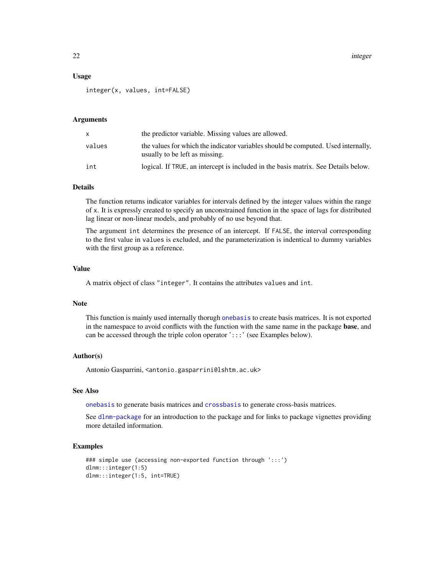22 integer

## Usage

integer(x, values, int=FALSE)

# Arguments

| x      | the predictor variable. Missing values are allowed.                                                                 |
|--------|---------------------------------------------------------------------------------------------------------------------|
| values | the values for which the indicator variables should be computed. Used internally,<br>usually to be left as missing. |
| int    | logical. If TRUE, an intercept is included in the basis matrix. See Details below.                                  |

# Details

The function returns indicator variables for intervals defined by the integer values within the range of x. It is expressly created to specify an unconstrained function in the space of lags for distributed lag linear or non-linear models, and probably of no use beyond that.

The argument int determines the presence of an intercept. If FALSE, the interval corresponding to the first value in values is excluded, and the parameterization is indentical to dummy variables with the first group as a reference.

# Value

A matrix object of class "integer". It contains the attributes values and int.

# Note

This function is mainly used internally thorugh [onebasis](#page-26-1) to create basis matrices. It is not exported in the namespace to avoid conflicts with the function with the same name in the package base, and can be accessed through the triple colon operator ':::' (see Examples below).

# Author(s)

Antonio Gasparrini, <antonio.gasparrini@lshtm.ac.uk>

# See Also

[onebasis](#page-26-1) to generate basis matrices and [crossbasis](#page-5-1) to generate cross-basis matrices.

See [dlnm-package](#page-1-1) for an introduction to the package and for links to package vignettes providing more detailed information.

```
### simple use (accessing non-exported function through ':::')
dlnm:::integer(1:5)
dlnm:::integer(1:5, int=TRUE)
```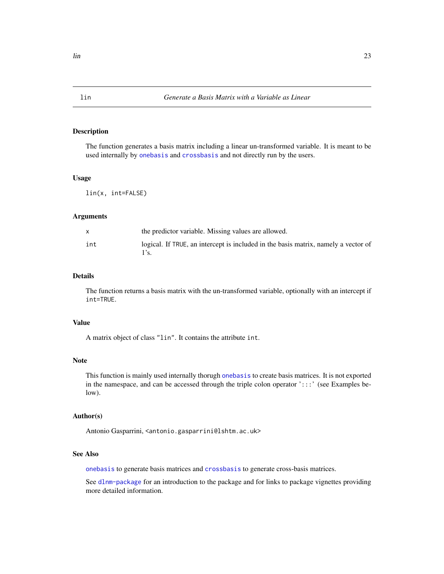# Description

The function generates a basis matrix including a linear un-transformed variable. It is meant to be used internally by [onebasis](#page-26-1) and [crossbasis](#page-5-1) and not directly run by the users.

# Usage

lin(x, int=FALSE)

#### Arguments

|     | the predictor variable. Missing values are allowed.                                |
|-----|------------------------------------------------------------------------------------|
| int | logical. If TRUE, an intercept is included in the basis matrix, namely a vector of |

# Details

The function returns a basis matrix with the un-transformed variable, optionally with an intercept if int=TRUE.

# Value

A matrix object of class "lin". It contains the attribute int.

#### Note

This function is mainly used internally thorugh [onebasis](#page-26-1) to create basis matrices. It is not exported in the namespace, and can be accessed through the triple colon operator ':::' (see Examples below).

# Author(s)

Antonio Gasparrini, <antonio.gasparrini@lshtm.ac.uk>

# See Also

[onebasis](#page-26-1) to generate basis matrices and [crossbasis](#page-5-1) to generate cross-basis matrices.

See [dlnm-package](#page-1-1) for an introduction to the package and for links to package vignettes providing more detailed information.

<span id="page-22-1"></span><span id="page-22-0"></span>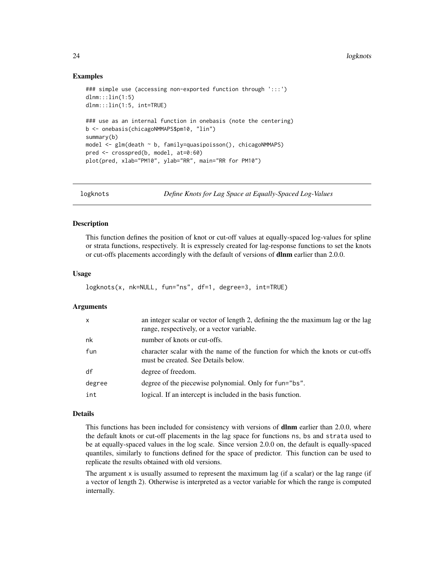24 logknots

# Examples

```
### simple use (accessing non-exported function through ':::')
dlnm:::lin(1:5)
dlnm:::lin(1:5, int=TRUE)
### use as an internal function in onebasis (note the centering)
b <- onebasis(chicagoNMMAPS$pm10, "lin")
summary(b)
model <- glm(death ~ b, family=quasipoisson(), chicagoNMMAPS)
pred <- crosspred(b, model, at=0:60)
plot(pred, xlab="PM10", ylab="RR", main="RR for PM10")
```
<span id="page-23-1"></span>logknots *Define Knots for Lag Space at Equally-Spaced Log-Values*

# Description

This function defines the position of knot or cut-off values at equally-spaced log-values for spline or strata functions, respectively. It is expressely created for lag-response functions to set the knots or cut-offs placements accordingly with the default of versions of dlnm earlier than 2.0.0.

# Usage

```
logknots(x, nk=NULL, fun="ns", df=1, degree=3, int=TRUE)
```
# Arguments

| x      | an integer scalar or vector of length 2, defining the the maximum lag or the lag<br>range, respectively, or a vector variable. |
|--------|--------------------------------------------------------------------------------------------------------------------------------|
| nk     | number of knots or cut-offs.                                                                                                   |
| fun    | character scalar with the name of the function for which the knots or cut-offs<br>must be created. See Details below.          |
| df     | degree of freedom.                                                                                                             |
| degree | degree of the piecewise polynomial. Only for fun="bs".                                                                         |
| int    | logical. If an intercept is included in the basis function.                                                                    |

#### Details

This functions has been included for consistency with versions of **dlnm** earlier than 2.0.0, where the default knots or cut-off placements in the lag space for functions ns, bs and strata used to be at equally-spaced values in the log scale. Since version 2.0.0 on, the default is equally-spaced quantiles, similarly to functions defined for the space of predictor. This function can be used to replicate the results obtained with old versions.

The argument  $x$  is usually assumed to represent the maximum lag (if a scalar) or the lag range (if a vector of length 2). Otherwise is interpreted as a vector variable for which the range is computed internally.

<span id="page-23-0"></span>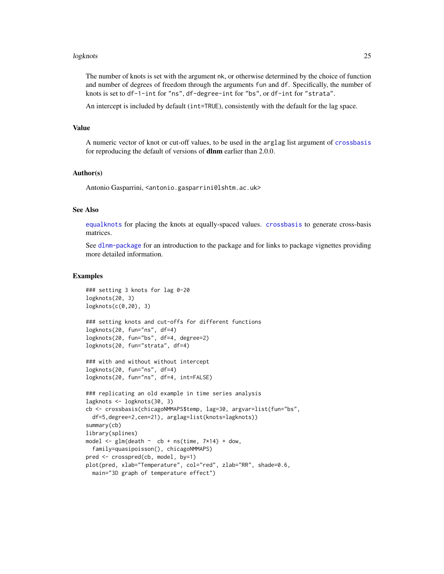#### <span id="page-24-0"></span>logknots 25

The number of knots is set with the argument nk, or otherwise determined by the choice of function and number of degrees of freedom through the arguments fun and df. Specifically, the number of knots is set to df-1-int for "ns", df-degree-int for "bs", or df-int for "strata".

An intercept is included by default (int=TRUE), consistently with the default for the lag space.

# Value

A numeric vector of knot or cut-off values, to be used in the arglag list argument of [crossbasis](#page-5-1) for reproducing the default of versions of **dlnm** earlier than 2.0.0.

# Author(s)

Antonio Gasparrini, <antonio.gasparrini@lshtm.ac.uk>

# See Also

[equalknots](#page-18-1) for placing the knots at equally-spaced values. [crossbasis](#page-5-1) to generate cross-basis matrices.

See [dlnm-package](#page-1-1) for an introduction to the package and for links to package vignettes providing more detailed information.

```
### setting 3 knots for lag 0-20
logknots(20, 3)
logknots(c(0,20), 3)
### setting knots and cut-offs for different functions
logknots(20, fun="ns", df=4)
logknots(20, fun="bs", df=4, degree=2)
logknots(20, fun="strata", df=4)
### with and without without intercept
logknots(20, fun="ns", df=4)
logknots(20, fun="ns", df=4, int=FALSE)
### replicating an old example in time series analysis
lagknots <- logknots(30, 3)
cb <- crossbasis(chicagoNMMAPS$temp, lag=30, argvar=list(fun="bs",
  df=5,degree=2,cen=21), arglag=list(knots=lagknots))
summary(cb)
library(splines)
model \leq glm(death \sim cb + ns(time, 7*14) + dow,
  family=quasipoisson(), chicagoNMMAPS)
pred <- crosspred(cb, model, by=1)
plot(pred, xlab="Temperature", col="red", zlab="RR", shade=0.6,
  main="3D graph of temperature effect")
```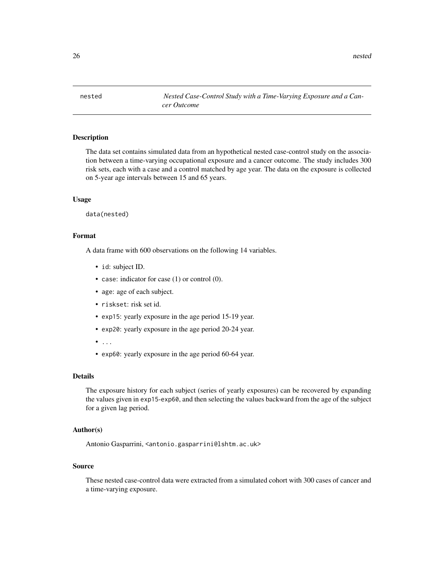<span id="page-25-0"></span>26 nested

<span id="page-25-1"></span>nested *Nested Case-Control Study with a Time-Varying Exposure and a Cancer Outcome*

# Description

The data set contains simulated data from an hypothetical nested case-control study on the association between a time-varying occupational exposure and a cancer outcome. The study includes 300 risk sets, each with a case and a control matched by age year. The data on the exposure is collected on 5-year age intervals between 15 and 65 years.

# Usage

data(nested)

# Format

A data frame with 600 observations on the following 14 variables.

- id: subject ID.
- case: indicator for case (1) or control (0).
- age: age of each subject.
- riskset: risk set id.
- exp15: yearly exposure in the age period 15-19 year.
- exp20: yearly exposure in the age period 20-24 year.
- $\bullet$  ...
- exp60: yearly exposure in the age period 60-64 year.

# Details

The exposure history for each subject (series of yearly exposures) can be recovered by expanding the values given in exp15-exp60, and then selecting the values backward from the age of the subject for a given lag period.

# Author(s)

Antonio Gasparrini, <antonio.gasparrini@lshtm.ac.uk>

# Source

These nested case-control data were extracted from a simulated cohort with 300 cases of cancer and a time-varying exposure.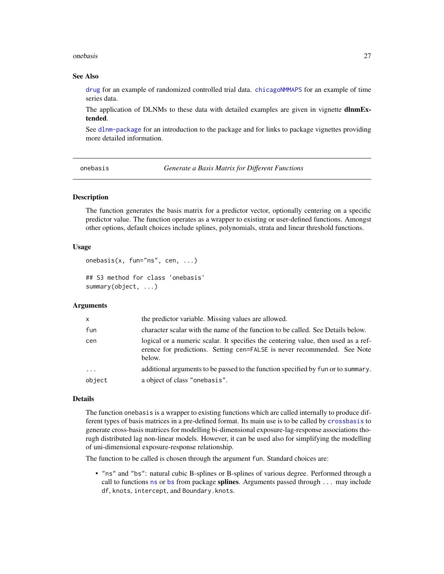#### <span id="page-26-0"></span>onebasis 27

# See Also

[drug](#page-17-1) for an example of randomized controlled trial data. [chicagoNMMAPS](#page-3-1) for an example of time series data.

The application of DLNMs to these data with detailed examples are given in vignette **dlnmEx**tended.

See [dlnm-package](#page-1-1) for an introduction to the package and for links to package vignettes providing more detailed information.

<span id="page-26-1"></span>onebasis *Generate a Basis Matrix for Different Functions*

# <span id="page-26-2"></span>**Description**

The function generates the basis matrix for a predictor vector, optionally centering on a specific predictor value. The function operates as a wrapper to existing or user-defined functions. Amongst other options, default choices include splines, polynomials, strata and linear threshold functions.

# Usage

```
onebasis(x, fun="ns", cen, ...)
```
## S3 method for class 'onebasis' summary(object, ...)

#### Arguments

| $\mathsf{x}$ | the predictor variable. Missing values are allowed.                                                                                                                      |
|--------------|--------------------------------------------------------------------------------------------------------------------------------------------------------------------------|
| fun          | character scalar with the name of the function to be called. See Details below.                                                                                          |
| cen          | logical or a numeric scalar. It specifies the centering value, then used as a ref-<br>erence for predictions. Setting cen=FALSE is never recommended. See Note<br>below. |
| $\ddots$     | additional arguments to be passed to the function specified by fun or to summary.                                                                                        |
| object       | a object of class "onebasis".                                                                                                                                            |

# Details

The function onebasis is a wrapper to existing functions which are called internally to produce different types of basis matrices in a pre-defined format. Its main use is to be called by [crossbasis](#page-5-1) to generate cross-basis matrices for modelling bi-dimensional exposure-lag-response associations thorugh distributed lag non-linear models. However, it can be used also for simplifying the modelling of uni-dimensional exposure-response relationship.

The function to be called is chosen through the argument fun. Standard choices are:

• "ns" and "bs": natural cubic B-splines or B-splines of various degree. Performed through a call to functions [ns](#page-0-0) or [bs](#page-0-0) from package splines. Arguments passed through ... may include df, knots, intercept, and Boundary.knots.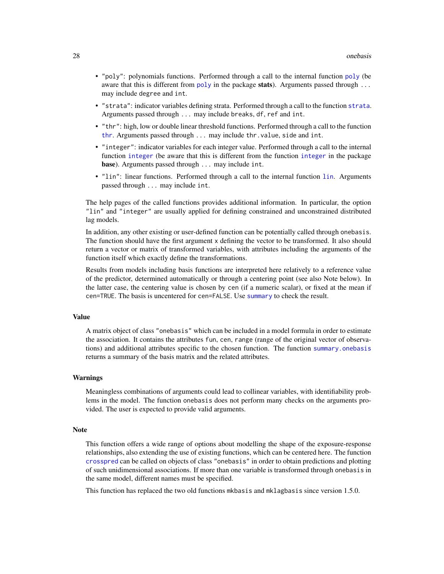- <span id="page-27-0"></span>• "poly": polynomials functions. Performed through a call to the internal function [poly](#page-35-1) (be aware that this is different from [poly](#page-35-1) in the package **stats**). Arguments passed through  $\dots$ may include degree and int.
- "strata": indicator variables defining strata. Performed through a call to the function [strata](#page-36-1). Arguments passed through ... may include breaks, df, ref and int.
- "thr": high, low or double linear threshold functions. Performed through a call to the function [thr](#page-37-1). Arguments passed through ... may include thr.value, side and int.
- "integer": indicator variables for each integer value. Performed through a call to the internal function [integer](#page-20-1) (be aware that this is different from the function [integer](#page-20-1) in the package base). Arguments passed through ... may include int.
- "lin": linear functions. Performed through a call to the internal function [lin](#page-22-1). Arguments passed through ... may include int.

The help pages of the called functions provides additional information. In particular, the option "lin" and "integer" are usually applied for defining constrained and unconstrained distributed lag models.

In addition, any other existing or user-defined function can be potentially called through onebasis. The function should have the first argument x defining the vector to be transformed. It also should return a vector or matrix of transformed variables, with attributes including the arguments of the function itself which exactly define the transformations.

Results from models including basis functions are interpreted here relatively to a reference value of the predictor, determined automatically or through a centering point (see also Note below). In the latter case, the centering value is chosen by cen (if a numeric scalar), or fixed at the mean if cen=TRUE. The basis is uncentered for cen=FALSE. Use [summary](#page-0-0) to check the result.

#### Value

A matrix object of class "onebasis" which can be included in a model formula in order to estimate the association. It contains the attributes fun, cen, range (range of the original vector of observations) and additional attributes specific to the chosen function. The function [summary.onebasis](#page-26-2) returns a summary of the basis matrix and the related attributes.

# Warnings

Meaningless combinations of arguments could lead to collinear variables, with identifiability problems in the model. The function onebasis does not perform many checks on the arguments provided. The user is expected to provide valid arguments.

#### Note

This function offers a wide range of options about modelling the shape of the exposure-response relationships, also extending the use of existing functions, which can be centered here. The function [crosspred](#page-9-1) can be called on objects of class "onebasis" in order to obtain predictions and plotting of such unidimensional associations. If more than one variable is transformed through onebasis in the same model, different names must be specified.

This function has replaced the two old functions mkbasis and mklagbasis since version 1.5.0.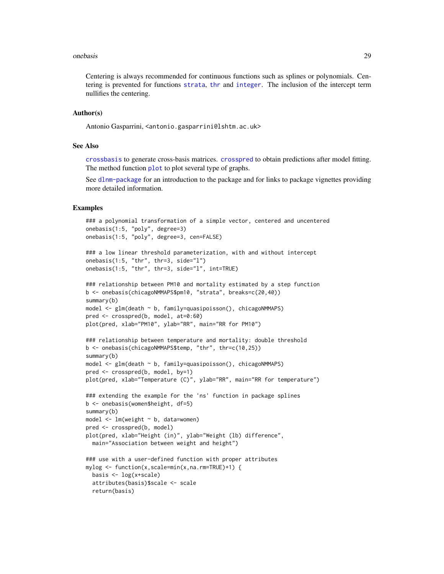#### <span id="page-28-0"></span>onebasis 29

Centering is always recommended for continuous functions such as splines or polynomials. Centering is prevented for functions [strata](#page-36-1), [thr](#page-37-1) and [integer](#page-20-1). The inclusion of the intercept term nullifies the centering.

# Author(s)

Antonio Gasparrini, <antonio.gasparrini@lshtm.ac.uk>

# See Also

[crossbasis](#page-5-1) to generate cross-basis matrices. [crosspred](#page-9-1) to obtain predictions after model fitting. The method function [plot](#page-29-1) to plot several type of graphs.

See [dlnm-package](#page-1-1) for an introduction to the package and for links to package vignettes providing more detailed information.

```
### a polynomial transformation of a simple vector, centered and uncentered
onebasis(1:5, "poly", degree=3)
onebasis(1:5, "poly", degree=3, cen=FALSE)
```

```
### a low linear threshold parameterization, with and without intercept
onebasis(1:5, "thr", thr=3, side="l")
onebasis(1:5, "thr", thr=3, side="l", int=TRUE)
```

```
### relationship between PM10 and mortality estimated by a step function
b <- onebasis(chicagoNMMAPS$pm10, "strata", breaks=c(20,40))
summary(b)
model \leq glm(death \sim b, family=quasipoisson(), chicagoNMMAPS)
pred <- crosspred(b, model, at=0:60)
plot(pred, xlab="PM10", ylab="RR", main="RR for PM10")
```

```
### relationship between temperature and mortality: double threshold
b <- onebasis(chicagoNMMAPS$temp, "thr", thr=c(10,25))
summary(b)
model <- glm(death ~ b, family=quasipoisson(), chicagoNMMAPS)
```

```
pred <- crosspred(b, model, by=1)
plot(pred, xlab="Temperature (C)", ylab="RR", main="RR for temperature")
### extending the example for the 'ns' function in package splines
b <- onebasis(women$height, df=5)
summary(b)
model <- lm(weight ~ b, data=women)
pred <- crosspred(b, model)
```

```
plot(pred, xlab="Height (in)", ylab="Weight (lb) difference",
 main="Association between weight and height")
```

```
### use with a user-defined function with proper attributes
mylog <- function(x,scale=min(x,na.rm=TRUE)+1) {
 basis <- log(x+scale)
 attributes(basis)$scale <- scale
 return(basis)
```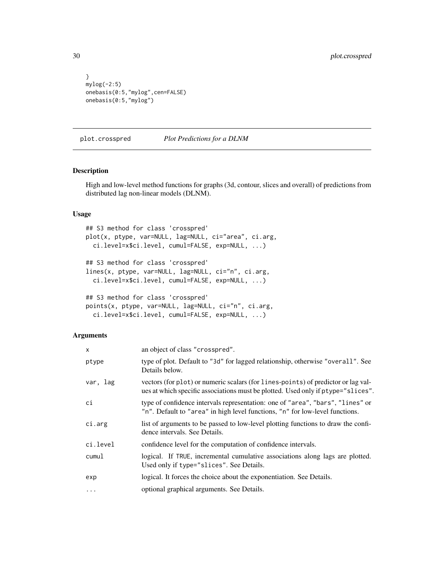```
}
mylog(-2:5)
onebasis(0:5,"mylog",cen=FALSE)
onebasis(0:5,"mylog")
```
<span id="page-29-1"></span>plot.crosspred *Plot Predictions for a DLNM*

# <span id="page-29-2"></span>Description

High and low-level method functions for graphs (3d, contour, slices and overall) of predictions from distributed lag non-linear models (DLNM).

# Usage

```
## S3 method for class 'crosspred'
plot(x, ptype, var=NULL, lag=NULL, ci="area", ci.arg,
 ci.level=x$ci.level, cumul=FALSE, exp=NULL, ...)
## S3 method for class 'crosspred'
lines(x, ptype, var=NULL, lag=NULL, ci="n", ci.arg,
  ci.level=x$ci.level, cumul=FALSE, exp=NULL, ...)
## S3 method for class 'crosspred'
points(x, ptype, var=NULL, lag=NULL, ci="n", ci.arg,
 ci.level=x$ci.level, cumul=FALSE, exp=NULL, ...)
```
# Arguments

| X         | an object of class "crosspred".                                                                                                                                       |
|-----------|-----------------------------------------------------------------------------------------------------------------------------------------------------------------------|
| ptype     | type of plot. Default to "3d" for lagged relationship, otherwise "overall". See<br>Details below.                                                                     |
| var, lag  | vectors (for plot) or numeric scalars (for lines-points) of predictor or lag val-<br>ues at which specific associations must be plotted. Used only if ptype="slices". |
| сi        | type of confidence intervals representation: one of "area", "bars", "lines" or<br>"n". Default to "area" in high level functions, "n" for low-level functions.        |
| ci.arg    | list of arguments to be passed to low-level plotting functions to draw the confi-<br>dence intervals. See Details.                                                    |
| ci.level  | confidence level for the computation of confidence intervals.                                                                                                         |
| cumul     | logical. If TRUE, incremental cumulative associations along lags are plotted.<br>Used only if type="slices". See Details.                                             |
| exp       | logical. It forces the choice about the exponentiation. See Details.                                                                                                  |
| $\ddotsc$ | optional graphical arguments. See Details.                                                                                                                            |

<span id="page-29-0"></span>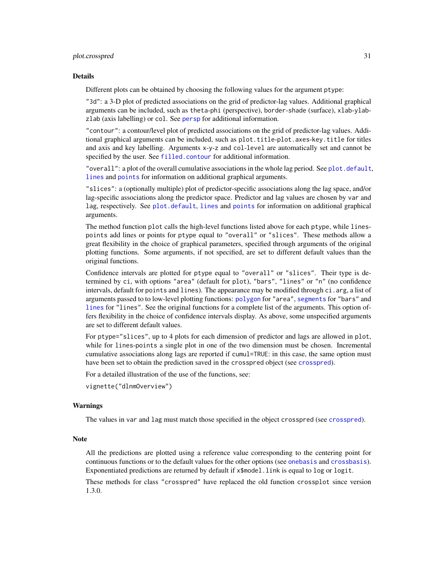#### <span id="page-30-0"></span>plot.crosspred 31

#### Details

Different plots can be obtained by choosing the following values for the argument ptype:

"3d": a 3-D plot of predicted associations on the grid of predictor-lag values. Additional graphical arguments can be included, such as theta-phi (perspective), border-shade (surface), xlab-ylabzlab (axis labelling) or col. See [persp](#page-0-0) for additional information.

"contour": a contour/level plot of predicted associations on the grid of predictor-lag values. Additional graphical arguments can be included, such as plot.title-plot.axes-key.title for titles and axis and key labelling. Arguments x-y-z and col-level are automatically set and cannot be specified by the user. See [filled.contour](#page-0-0) for additional information.

"overall": a plot of the overall cumulative associations in the whole lag period. See plot. default, [lines](#page-0-0) and [points](#page-0-0) for information on additional graphical arguments.

"slices": a (optionally multiple) plot of predictor-specific associations along the lag space, and/or lag-specific associations along the predictor space. Predictor and lag values are chosen by var and lag, respectively. See [plot.default](#page-0-0), [lines](#page-0-0) and [points](#page-0-0) for information on additional graphical arguments.

The method function plot calls the high-level functions listed above for each ptype, while linespoints add lines or points for ptype equal to "overall" or "slices". These methods allow a great flexibility in the choice of graphical parameters, specified through arguments of the original plotting functions. Some arguments, if not specified, are set to different default values than the original functions.

Confidence intervals are plotted for ptype equal to "overall" or "slices". Their type is determined by ci, with options "area" (default for plot), "bars", "lines" or "n" (no confidence intervals, default for points and lines). The appearance may be modified through ci.arg, a list of arguments passed to to low-level plotting functions: [polygon](#page-0-0) for "area", [segments](#page-0-0) for "bars" and [lines](#page-0-0) for "lines". See the original functions for a complete list of the arguments. This option offers flexibility in the choice of confidence intervals display. As above, some unspecified arguments are set to different default values.

For ptype="slices", up to 4 plots for each dimension of predictor and lags are allowed in plot, while for lines-points a single plot in one of the two dimension must be chosen. Incremental cumulative associations along lags are reported if cumul=TRUE: in this case, the same option must have been set to obtain the prediction saved in the crosspred object (see [crosspred](#page-9-1)).

For a detailed illustration of the use of the functions, see:

```
vignette("dlnmOverview")
```
#### Warnings

The values in var and lag must match those specified in the object crosspred (see [crosspred](#page-9-1)).

#### **Note**

All the predictions are plotted using a reference value corresponding to the centering point for continuous functions or to the default values for the other options (see [onebasis](#page-26-1) and [crossbasis](#page-5-1)). Exponentiated predictions are returned by default if  $x$ \$model.link is equal to log or logit.

These methods for class "crosspred" have replaced the old function crossplot since version 1.3.0.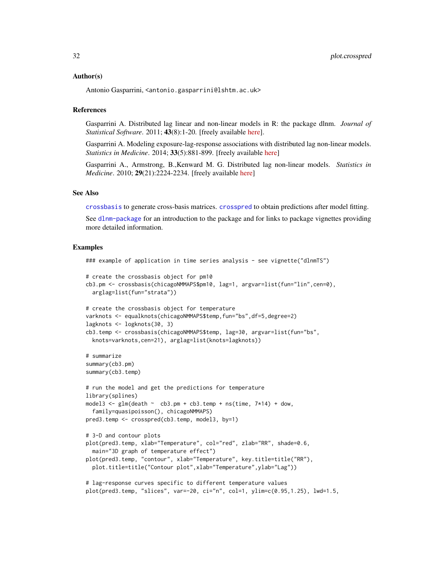#### <span id="page-31-0"></span>Author(s)

Antonio Gasparrini, <antonio.gasparrini@lshtm.ac.uk>

# **References**

Gasparrini A. Distributed lag linear and non-linear models in R: the package dlnm. *Journal of Statistical Software*. 2011; 43(8):1-20. [freely available [here\]](http://www.ag-myresearch.com/jss2011).

Gasparrini A. Modeling exposure-lag-response associations with distributed lag non-linear models. *Statistics in Medicine*. 2014; 33(5):881-899. [freely available [here\]](http://www.ag-myresearch.com/statmed2014)

Gasparrini A., Armstrong, B.,Kenward M. G. Distributed lag non-linear models. *Statistics in Medicine*. 2010; 29(21):2224-2234. [freely available [here\]](http://www.ag-myresearch.com/statmed2010)

# See Also

[crossbasis](#page-5-1) to generate cross-basis matrices. [crosspred](#page-9-1) to obtain predictions after model fitting.

See [dlnm-package](#page-1-1) for an introduction to the package and for links to package vignettes providing more detailed information.

```
### example of application in time series analysis - see vignette("dlnmTS")
# create the crossbasis object for pm10
cb3.pm <- crossbasis(chicagoNMMAPS$pm10, lag=1, argvar=list(fun="lin",cen=0),
 arglag=list(fun="strata"))
# create the crossbasis object for temperature
varknots <- equalknots(chicagoNMMAPS$temp,fun="bs",df=5,degree=2)
lagknots <- logknots(30, 3)
cb3.temp <- crossbasis(chicagoNMMAPS$temp, lag=30, argvar=list(fun="bs",
 knots=varknots,cen=21), arglag=list(knots=lagknots))
# summarize
summary(cb3.pm)
summary(cb3.temp)
# run the model and get the predictions for temperature
library(splines)
model3 <- glm(death ~ c b3.pm + cb3.temp + ns(time, 7*14) + down,family=quasipoisson(), chicagoNMMAPS)
pred3.temp <- crosspred(cb3.temp, model3, by=1)
# 3-D and contour plots
plot(pred3.temp, xlab="Temperature", col="red", zlab="RR", shade=0.6,
 main="3D graph of temperature effect")
plot(pred3.temp, "contour", xlab="Temperature", key.title=title("RR"),
 plot.title=title("Contour plot",xlab="Temperature",ylab="Lag"))
# lag-response curves specific to different temperature values
```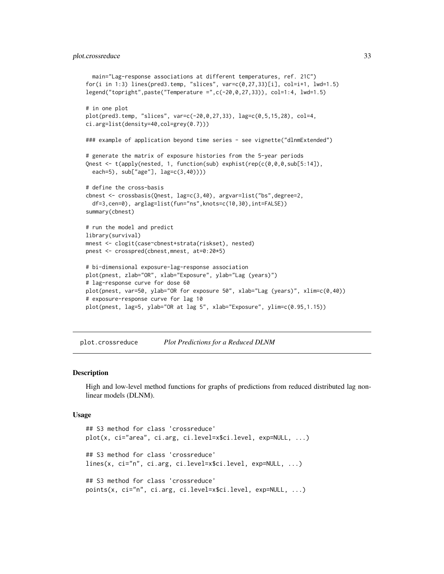```
main="Lag-response associations at different temperatures, ref. 21C")
for(i in 1:3) lines(pred3.temp, "slices", var=c(0,27,33)[i], col=i+1, lwd=1.5)
legend("topright",paste("Temperature =",c(-20,0,27,33)), col=1:4, lwd=1.5)
# in one plot
plot(pred3.temp, "slices", var=c(-20,0,27,33), lag=c(0,5,15,28), col=4,
ci.arg=list(density=40,col=grey(0.7)))
### example of application beyond time series - see vignette("dlnmExtended")
# generate the matrix of exposure histories from the 5-year periods
Qnest <- t(apply(nested, 1, function(sub) exphist(rep(c(0,0,0,sub[5:14]),
  each=5), sub["age"], lag=c(3,40))))
# define the cross-basis
cbnest <- crossbasis(Qnest, lag=c(3,40), argvar=list("bs",degree=2,
  df=3,cen=0), arglag=list(fun="ns",knots=c(10,30),int=FALSE))
summary(cbnest)
# run the model and predict
library(survival)
mnest <- clogit(case~cbnest+strata(riskset), nested)
pnest <- crosspred(cbnest,mnest, at=0:20*5)
# bi-dimensional exposure-lag-response association
plot(pnest, zlab="OR", xlab="Exposure", ylab="Lag (years)")
# lag-response curve for dose 60
plot(pnest, var=50, ylab="OR for exposure 50", xlab="Lag (years)", xlim=c(0,40))
# exposure-response curve for lag 10
plot(pnest, lag=5, ylab="OR at lag 5", xlab="Exposure", ylim=c(0.95,1.15))
```
<span id="page-32-1"></span>plot.crossreduce *Plot Predictions for a Reduced DLNM*

# Description

High and low-level method functions for graphs of predictions from reduced distributed lag nonlinear models (DLNM).

#### Usage

```
## S3 method for class 'crossreduce'
plot(x, ci="area", ci.arg, ci.level=x$ci.level, exp=NULL, ...)
## S3 method for class 'crossreduce'
lines(x, ci="n", ci.arg, ci.level=x$ci.level, exp=NULL, ...)
## S3 method for class 'crossreduce'
points(x, ci="n", ci.arg, ci.level=x$ci.level, exp=NULL, ...)
```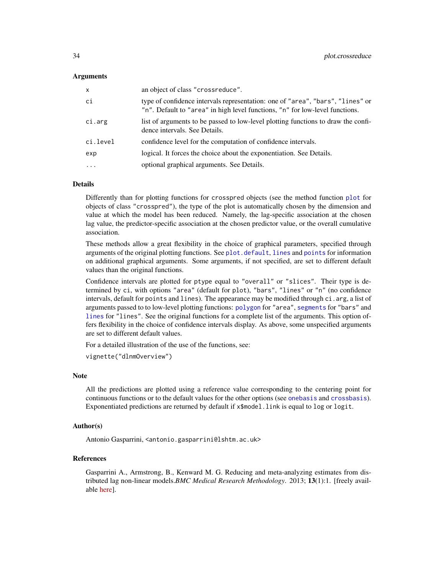# <span id="page-33-0"></span>Arguments

| x        | an object of class "crossreduce".                                                                                                                              |
|----------|----------------------------------------------------------------------------------------------------------------------------------------------------------------|
| сi       | type of confidence intervals representation: one of "area", "bars", "lines" or<br>"n". Default to "area" in high level functions, "n" for low-level functions. |
| ci.arg   | list of arguments to be passed to low-level plotting functions to draw the confi-<br>dence intervals. See Details.                                             |
| ci.level | confidence level for the computation of confidence intervals.                                                                                                  |
| exp      | logical. It forces the choice about the exponentiation. See Details.                                                                                           |
| $\cdot$  | optional graphical arguments. See Details.                                                                                                                     |
|          |                                                                                                                                                                |

# Details

Differently than for plotting functions for crosspred objects (see the method function [plot](#page-29-1) for objects of class "crosspred"), the type of the plot is automatically chosen by the dimension and value at which the model has been reduced. Namely, the lag-specific association at the chosen lag value, the predictor-specific association at the chosen predictor value, or the overall cumulative association.

These methods allow a great flexibility in the choice of graphical parameters, specified through arguments of the original plotting functions. See [plot.default](#page-0-0), [lines](#page-0-0) and [points](#page-0-0) for information on additional graphical arguments. Some arguments, if not specified, are set to different default values than the original functions.

Confidence intervals are plotted for ptype equal to "overall" or "slices". Their type is determined by ci, with options "area" (default for plot), "bars", "lines" or "n" (no confidence intervals, default for points and lines). The appearance may be modified through ci.arg, a list of arguments passed to to low-level plotting functions: [polygon](#page-0-0) for "area", [segments](#page-0-0) for "bars" and [lines](#page-0-0) for "lines". See the original functions for a complete list of the arguments. This option offers flexibility in the choice of confidence intervals display. As above, some unspecified arguments are set to different default values.

For a detailed illustration of the use of the functions, see:

vignette("dlnmOverview")

# Note

All the predictions are plotted using a reference value corresponding to the centering point for continuous functions or to the default values for the other options (see [onebasis](#page-26-1) and [crossbasis](#page-5-1)). Exponentiated predictions are returned by default if x\$model.link is equal to log or logit.

# Author(s)

Antonio Gasparrini, <antonio.gasparrini@lshtm.ac.uk>

#### References

Gasparrini A., Armstrong, B., Kenward M. G. Reducing and meta-analyzing estimates from distributed lag non-linear models.*BMC Medical Research Methodology*. 2013; 13(1):1. [freely available [here\]](http://www.ag-myresearch.com/bmcmrm2013).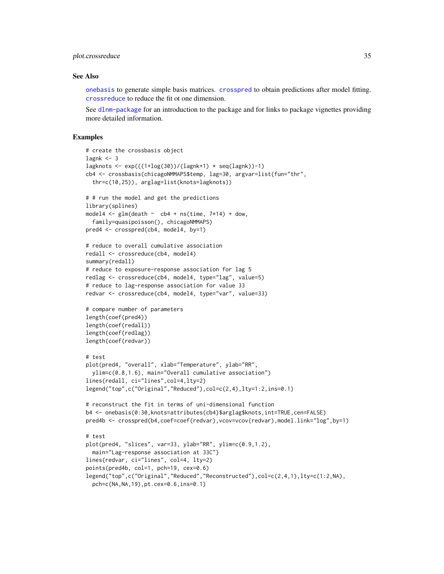# <span id="page-34-0"></span>plot.crossreduce 35

#### See Also

[onebasis](#page-26-1) to generate simple basis matrices. [crosspred](#page-9-1) to obtain predictions after model fitting. [crossreduce](#page-13-1) to reduce the fit ot one dimension.

See [dlnm-package](#page-1-1) for an introduction to the package and for links to package vignettes providing more detailed information.

```
# create the crossbasis object
lagnk < -3lagknots \leq exp(((1+log(30))/(lagnk+1) \star seq(lagnk))-1)
cb4 <- crossbasis(chicagoNMMAPS$temp, lag=30, argvar=list(fun="thr",
  thr=c(10,25)), arglag=list(knots=lagknots))
# # run the model and get the predictions
library(splines)
model4 \leq glm(death \sim cb4 + ns(time, 7*14) + dow,
  family=quasipoisson(), chicagoNMMAPS)
pred4 <- crosspred(cb4, model4, by=1)
# reduce to overall cumulative association
redall <- crossreduce(cb4, model4)
summary(redall)
# reduce to exposure-response association for lag 5
redlag <- crossreduce(cb4, model4, type="lag", value=5)
# reduce to lag-response association for value 33
redvar <- crossreduce(cb4, model4, type="var", value=33)
# compare number of parameters
length(coef(pred4))
length(coef(redall))
length(coef(redlag))
length(coef(redvar))
# test
plot(pred4, "overall", xlab="Temperature", ylab="RR",
  ylim=c(0.8,1.6), main="Overall cumulative association")
lines(redall, ci="lines",col=4,lty=2)
legend("top",c("Original","Reduced"),col=c(2,4),lty=1:2,ins=0.1)
# reconstruct the fit in terms of uni-dimensional function
b4 <- onebasis(0:30,knots=attributes(cb4)$arglag$knots,int=TRUE,cen=FALSE)
pred4b <- crosspred(b4,coef=coef(redvar),vcov=vcov(redvar),model.link="log",by=1)
# test
plot(pred4, "slices", var=33, ylab="RR", ylim=c(0.9,1.2),
  main="Lag-response association at 33C")
lines(redvar, ci="lines", col=4, lty=2)
points(pred4b, col=1, pch=19, cex=0.6)
legend("top",c("Original","Reduced","Reconstructed"),col=c(2,4,1),lty=c(1:2,NA),
  pch=c(NA,NA,19),pt.cex=0.6,ins=0.1)
```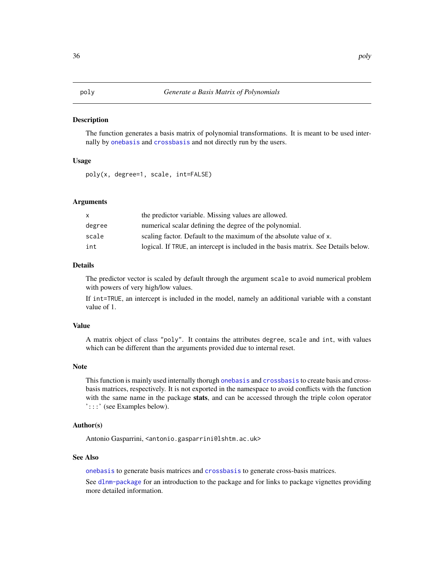#### <span id="page-35-1"></span><span id="page-35-0"></span>Description

The function generates a basis matrix of polynomial transformations. It is meant to be used internally by [onebasis](#page-26-1) and [crossbasis](#page-5-1) and not directly run by the users.

# Usage

poly(x, degree=1, scale, int=FALSE)

# Arguments

| $\mathsf{X}$ | the predictor variable. Missing values are allowed.                                |
|--------------|------------------------------------------------------------------------------------|
| degree       | numerical scalar defining the degree of the polynomial.                            |
| scale        | scaling factor. Default to the maximum of the absolute value of x.                 |
| int          | logical. If TRUE, an intercept is included in the basis matrix. See Details below. |

# Details

The predictor vector is scaled by default through the argument scale to avoid numerical problem with powers of very high/low values.

If int=TRUE, an intercept is included in the model, namely an additional variable with a constant value of 1.

# Value

A matrix object of class "poly". It contains the attributes degree, scale and int, with values which can be different than the arguments provided due to internal reset.

# Note

This function is mainly used internally thorugh [onebasis](#page-26-1) and [crossbasis](#page-5-1) to create basis and crossbasis matrices, respectively. It is not exported in the namespace to avoid conflicts with the function with the same name in the package stats, and can be accessed through the triple colon operator ':::' (see Examples below).

# Author(s)

Antonio Gasparrini, <antonio.gasparrini@lshtm.ac.uk>

# See Also

[onebasis](#page-26-1) to generate basis matrices and [crossbasis](#page-5-1) to generate cross-basis matrices.

See [dlnm-package](#page-1-1) for an introduction to the package and for links to package vignettes providing more detailed information.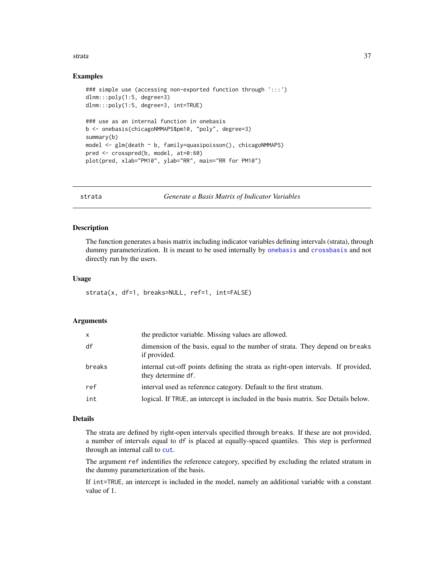#### <span id="page-36-0"></span>strata 37

# Examples

```
### simple use (accessing non-exported function through ':::')
dlnm:::poly(1:5, degree=3)
dlnm:::poly(1:5, degree=3, int=TRUE)
### use as an internal function in onebasis
b <- onebasis(chicagoNMMAPS$pm10, "poly", degree=3)
summary(b)
model <- glm(death ~ b, family=quasipoisson(), chicagoNMMAPS)
pred <- crosspred(b, model, at=0:60)
plot(pred, xlab="PM10", ylab="RR", main="RR for PM10")
```
<span id="page-36-1"></span>strata *Generate a Basis Matrix of Indicator Variables*

# Description

The function generates a basis matrix including indicator variables defining intervals (strata), through dummy parameterization. It is meant to be used internally by [onebasis](#page-26-1) and [crossbasis](#page-5-1) and not directly run by the users.

# Usage

```
strata(x, df=1, breaks=NULL, ref=1, int=FALSE)
```
# Arguments

| X      | the predictor variable. Missing values are allowed.                                                     |
|--------|---------------------------------------------------------------------------------------------------------|
| df     | dimension of the basis, equal to the number of strata. They depend on breaks<br>if provided.            |
| breaks | internal cut-off points defining the strata as right-open intervals. If provided,<br>they determine df. |
| ref    | interval used as reference category. Default to the first stratum.                                      |
| int    | logical. If TRUE, an intercept is included in the basis matrix. See Details below.                      |

# Details

The strata are defined by right-open intervals specified through breaks. If these are not provided, a number of intervals equal to df is placed at equally-spaced quantiles. This step is performed through an internal call to [cut](#page-0-0).

The argument ref indentifies the reference category, specified by excluding the related stratum in the dummy parameterization of the basis.

If int=TRUE, an intercept is included in the model, namely an additional variable with a constant value of 1.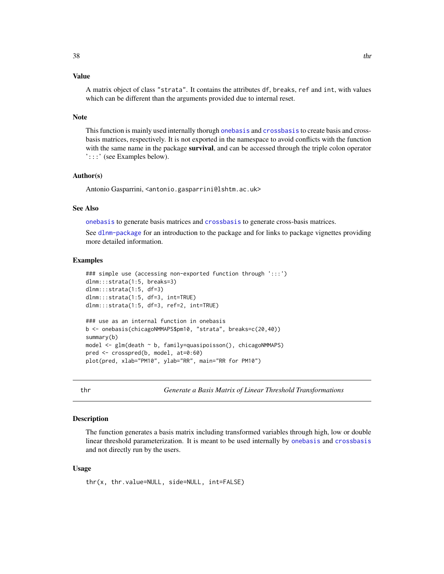# <span id="page-37-0"></span>Value

A matrix object of class "strata". It contains the attributes df, breaks, ref and int, with values which can be different than the arguments provided due to internal reset.

#### **Note**

This function is mainly used internally thorugh [onebasis](#page-26-1) and [crossbasis](#page-5-1) to create basis and crossbasis matrices, respectively. It is not exported in the namespace to avoid conflicts with the function with the same name in the package **survival**, and can be accessed through the triple colon operator ':::' (see Examples below).

# Author(s)

Antonio Gasparrini, <antonio.gasparrini@lshtm.ac.uk>

#### See Also

[onebasis](#page-26-1) to generate basis matrices and [crossbasis](#page-5-1) to generate cross-basis matrices.

See [dlnm-package](#page-1-1) for an introduction to the package and for links to package vignettes providing more detailed information.

# Examples

```
### simple use (accessing non-exported function through ':::')
dlnm:::strata(1:5, breaks=3)
dlnm:::strata(1:5, df=3)
dlnm:::strata(1:5, df=3, int=TRUE)
dlnm:::strata(1:5, df=3, ref=2, int=TRUE)
### use as an internal function in onebasis
b <- onebasis(chicagoNMMAPS$pm10, "strata", breaks=c(20,40))
summary(b)
model <- glm(death ~ b, family=quasipoisson(), chicagoNMMAPS)
pred <- crosspred(b, model, at=0:60)
plot(pred, xlab="PM10", ylab="RR", main="RR for PM10")
```
<span id="page-37-1"></span>thr *Generate a Basis Matrix of Linear Threshold Transformations*

# Description

The function generates a basis matrix including transformed variables through high, low or double linear threshold parameterization. It is meant to be used internally by [onebasis](#page-26-1) and [crossbasis](#page-5-1) and not directly run by the users.

#### Usage

thr(x, thr.value=NULL, side=NULL, int=FALSE)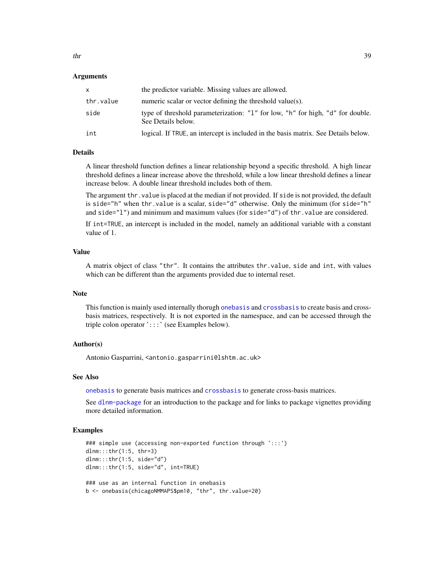#### <span id="page-38-0"></span>Arguments

| x         | the predictor variable. Missing values are allowed.                                                  |
|-----------|------------------------------------------------------------------------------------------------------|
| thr.value | numeric scalar or vector defining the threshold value(s).                                            |
| side      | type of threshold parameterization: "1" for low, "h" for high, "d" for double.<br>See Details below. |
| int       | logical. If TRUE, an intercept is included in the basis matrix. See Details below.                   |

# Details

A linear threshold function defines a linear relationship beyond a specific threshold. A high linear threshold defines a linear increase above the threshold, while a low linear threshold defines a linear increase below. A double linear threshold includes both of them.

The argument thr. value is placed at the median if not provided. If side is not provided, the default is side="h" when thr.value is a scalar, side="d" otherwise. Only the minimum (for side="h" and  $side="1"$ ) and minimum and maximum values (for  $side="d"$ ) of thr.value are considered.

If int=TRUE, an intercept is included in the model, namely an additional variable with a constant value of 1.

# Value

A matrix object of class "thr". It contains the attributes thr.value, side and int, with values which can be different than the arguments provided due to internal reset.

# Note

This function is mainly used internally thorugh [onebasis](#page-26-1) and [crossbasis](#page-5-1) to create basis and crossbasis matrices, respectively. It is not exported in the namespace, and can be accessed through the triple colon operator ':::' (see Examples below).

# Author(s)

Antonio Gasparrini, <antonio.gasparrini@lshtm.ac.uk>

# See Also

[onebasis](#page-26-1) to generate basis matrices and [crossbasis](#page-5-1) to generate cross-basis matrices.

See [dlnm-package](#page-1-1) for an introduction to the package and for links to package vignettes providing more detailed information.

```
### simple use (accessing non-exported function through ':::')
dlnm:::thr(1:5, thr=3)
dlnm:::thr(1:5, side="d")
dlnm:::thr(1:5, side="d", int=TRUE)
### use as an internal function in onebasis
b <- onebasis(chicagoNMMAPS$pm10, "thr", thr.value=20)
```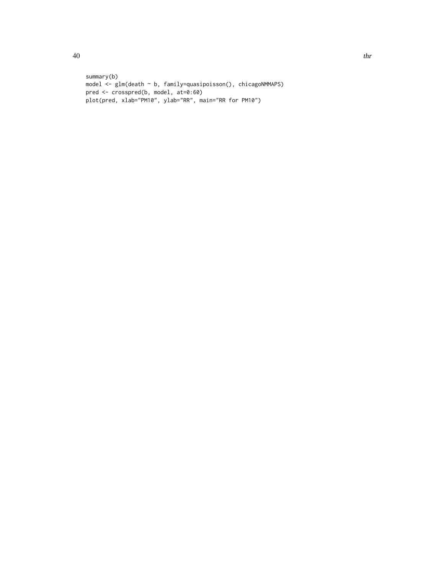```
summary(b)
model <- glm(death ~ b, family=quasipoisson(), chicagoNMMAPS)
pred <- crosspred(b, model, at=0:60)
plot(pred, xlab="PM10", ylab="RR", main="RR for PM10")
```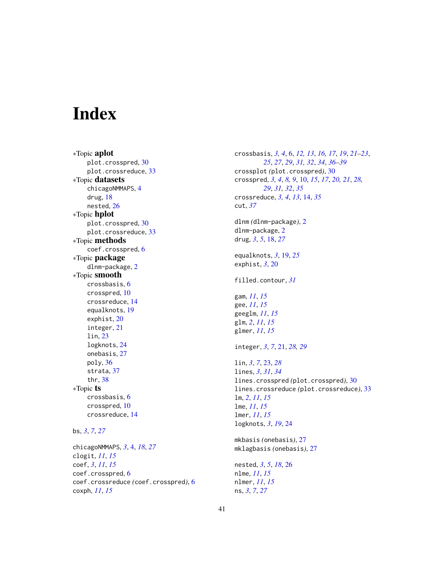# <span id="page-40-0"></span>Index

∗Topic aplot plot.crosspred, [30](#page-29-0) plot.crossreduce, [33](#page-32-0) ∗Topic datasets chicagoNMMAPS, [4](#page-3-0) drug, [18](#page-17-0) nested, [26](#page-25-0) ∗Topic hplot plot.crosspred, [30](#page-29-0) plot.crossreduce, [33](#page-32-0) ∗Topic methods coef.crosspred, [6](#page-5-0) ∗Topic package dlnm-package, [2](#page-1-0) ∗Topic smooth crossbasis, [6](#page-5-0) crosspred, [10](#page-9-0) crossreduce, [14](#page-13-0) equalknots, [19](#page-18-0) exphist, [20](#page-19-0) integer, [21](#page-20-0) lin, [23](#page-22-0) logknots, [24](#page-23-0) onebasis, [27](#page-26-0) poly, [36](#page-35-0) strata, [37](#page-36-0) thr, [38](#page-37-0) ∗Topic ts crossbasis, [6](#page-5-0) crosspred, [10](#page-9-0) crossreduce, [14](#page-13-0) bs, *[3](#page-2-0)*, *[7](#page-6-0)*, *[27](#page-26-0)* chicagoNMMAPS, *[3](#page-2-0)*, [4,](#page-3-0) *[18](#page-17-0)*, *[27](#page-26-0)* clogit, *[11](#page-10-0)*, *[15](#page-14-0)* coef, *[3](#page-2-0)*, *[11](#page-10-0)*, *[15](#page-14-0)* coef.crosspred, [6](#page-5-0)

coef.crossreduce *(*coef.crosspred*)*, [6](#page-5-0)

coxph, *[11](#page-10-0)*, *[15](#page-14-0)*

crossbasis, *[3,](#page-2-0) [4](#page-3-0)*, [6,](#page-5-0) *[12,](#page-11-0) [13](#page-12-0)*, *[16,](#page-15-0) [17](#page-16-0)*, *[19](#page-18-0)*, *[21](#page-20-0)[–23](#page-22-0)*, *[25](#page-24-0)*, *[27](#page-26-0)*, *[29](#page-28-0)*, *[31,](#page-30-0) [32](#page-31-0)*, *[34](#page-33-0)*, *[36](#page-35-0)[–39](#page-38-0)* crossplot *(*plot.crosspred*)*, [30](#page-29-0) crosspred, *[3,](#page-2-0) [4](#page-3-0)*, *[8,](#page-7-0) [9](#page-8-0)*, [10,](#page-9-0) *[15](#page-14-0)*, *[17](#page-16-0)*, *[20,](#page-19-0) [21](#page-20-0)*, *[28,](#page-27-0) [29](#page-28-0)*, *[31,](#page-30-0) [32](#page-31-0)*, *[35](#page-34-0)* crossreduce, *[3,](#page-2-0) [4](#page-3-0)*, *[13](#page-12-0)*, [14,](#page-13-0) *[35](#page-34-0)* cut, *[37](#page-36-0)* dlnm *(*dlnm-package*)*, [2](#page-1-0) dlnm-package, [2](#page-1-0) drug, *[3](#page-2-0)*, *[5](#page-4-0)*, [18,](#page-17-0) *[27](#page-26-0)* equalknots, *[3](#page-2-0)*, [19,](#page-18-0) *[25](#page-24-0)* exphist, *[3](#page-2-0)*, [20](#page-19-0) filled.contour, *[31](#page-30-0)* gam, *[11](#page-10-0)*, *[15](#page-14-0)* gee, *[11](#page-10-0)*, *[15](#page-14-0)* geeglm, *[11](#page-10-0)*, *[15](#page-14-0)* glm, *[2](#page-1-0)*, *[11](#page-10-0)*, *[15](#page-14-0)* glmer, *[11](#page-10-0)*, *[15](#page-14-0)* integer, *[3](#page-2-0)*, *[7](#page-6-0)*, [21,](#page-20-0) *[28,](#page-27-0) [29](#page-28-0)* lin, *[3](#page-2-0)*, *[7](#page-6-0)*, [23,](#page-22-0) *[28](#page-27-0)* lines, *[3](#page-2-0)*, *[31](#page-30-0)*, *[34](#page-33-0)* lines.crosspred *(*plot.crosspred*)*, [30](#page-29-0) lines.crossreduce *(*plot.crossreduce*)*, [33](#page-32-0) lm, *[2](#page-1-0)*, *[11](#page-10-0)*, *[15](#page-14-0)* lme, *[11](#page-10-0)*, *[15](#page-14-0)* lmer, *[11](#page-10-0)*, *[15](#page-14-0)* logknots, *[3](#page-2-0)*, *[19](#page-18-0)*, [24](#page-23-0) mkbasis *(*onebasis*)*, [27](#page-26-0) mklagbasis *(*onebasis*)*, [27](#page-26-0) nested, *[3](#page-2-0)*, *[5](#page-4-0)*, *[18](#page-17-0)*, [26](#page-25-0) nlme, *[11](#page-10-0)*, *[15](#page-14-0)* nlmer, *[11](#page-10-0)*, *[15](#page-14-0)* ns, *[3](#page-2-0)*, *[7](#page-6-0)*, *[27](#page-26-0)*